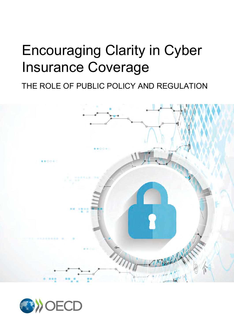## Encouraging Clarity in Cyber Insurance Coverage

THE ROLE OF PUBLIC POLICY AND REGULATION



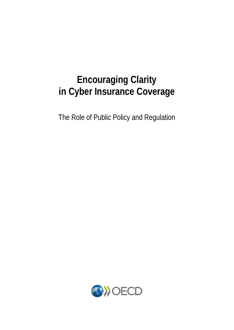### **Encouraging Clarity in Cyber Insurance Coverage**

The Role of Public Policy and Regulation

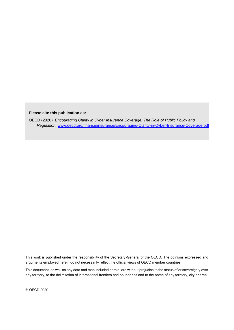#### **Please cite this publication as:**

 OECD (2020), *Encouraging Clarity in Cyber Insurance Coverage: The Role of Public Policy and Regulation,* [www.oecd.org/finance/insurance/Encouraging-Clarity-in-Cyber-Insurance-Coverage.pdf](https://www.oecd.org/daf/fin/insurance/Encouraging-Clarity-in-Cyber-Insurance-Coverage.pdf)

This work is published under the responsibility of the Secretary-General of the OECD. The opinions expressed and arguments employed herein do not necessarily reflect the official views of OECD member countries.

This document, as well as any data and map included herein, are without prejudice to the status of or sovereignty over any territory, to the delimitation of international frontiers and boundaries and to the name of any territory, city or area.

© OECD 2020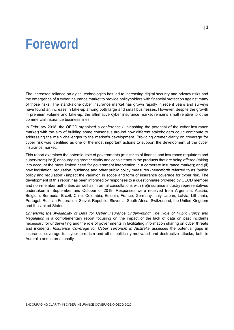## <span id="page-3-0"></span>**Foreword**

The increased reliance on digital technologies has led to increasing digital security and privacy risks and the emergence of a cyber insurance market to provide policyholders with financial protection against many of those risks. The stand-alone cyber insurance market has grown rapidly in recent years and surveys have found an increase in take-up among both large and small businesses. However, despite the growth in premium volume and take-up, the affirmative cyber insurance market remains small relative to other commercial insurance business lines.

In February 2018, the OECD organised a conference (Unleashing the potential of the cyber insurance market) with the aim of building some consensus around how different stakeholders could contribute to addressing the main challenges to the market's development. Providing greater clarity on coverage for cyber risk was identified as one of the most important actions to support the development of the cyber insurance market.

This report examines the potential role of governments (ministries of finance and insurance regulators and supervisors) in: (i) encouraging greater clarity and consistency in the products that are being offered (taking into account the more limited need for government intervention in a corporate insurance market); and (ii) how legislation, regulation, guidance and other public policy measures (henceforth referred to as "public policy and regulation") impact the variation in scope and form of insurance coverage for cyber risk. The development of this report has been informed by responses to a questionnaire provided by OECD member and non-member authorities as well as informal consultations with (re)insurance industry representatives undertaken in September and October of 2019. Responses were received from Argentina, Austria, Belgium, Bermuda, Brazil, Chile, Colombia, Estonia, France, Germany, Italy, Japan, Latvia, Lithuania, Portugal, Russian Federation, Slovak Republic, Slovenia, South Africa, Switzerland, the United Kingdom and the United States.

*Enhancing the Availability of Data for Cyber Insurance Underwriting: The Role of Public Policy and Regulation* is a complementary report focusing on the impact of the lack of data on past incidents necessary for underwriting and the role of governments in facilitating information sharing on cyber threats and incidents. *Insurance Coverage for Cyber Terrorism in Australia* assesses the potential gaps in insurance coverage for cyber-terrorism and other politically-motivated and destructive attacks, both in Australia and internationally.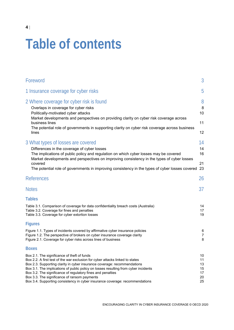# **Table of contents**

| Foreword                                                                                                                                                                                                                                                                                                                                                                                                                                                                                       | 3                                      |
|------------------------------------------------------------------------------------------------------------------------------------------------------------------------------------------------------------------------------------------------------------------------------------------------------------------------------------------------------------------------------------------------------------------------------------------------------------------------------------------------|----------------------------------------|
| 1 Insurance coverage for cyber risks                                                                                                                                                                                                                                                                                                                                                                                                                                                           | 5                                      |
| 2 Where coverage for cyber risk is found<br>Overlaps in coverage for cyber risks<br>Politically-motivated cyber attacks<br>Market developments and perspectives on providing clarity on cyber risk coverage across                                                                                                                                                                                                                                                                             | 8<br>8<br>10                           |
| business lines<br>The potential role of governments in supporting clarity on cyber risk coverage across business<br>lines                                                                                                                                                                                                                                                                                                                                                                      | 11<br>12                               |
| 3 What types of losses are covered<br>Differences in the coverage of cyber losses<br>The implications of public policy and regulation on which cyber losses may be covered<br>Market developments and perspectives on improving consistency in the types of cyber losses                                                                                                                                                                                                                       | 14<br>14<br>16                         |
| covered<br>The potential role of governments in improving consistency in the types of cyber losses covered                                                                                                                                                                                                                                                                                                                                                                                     | 21<br>23                               |
| <b>References</b>                                                                                                                                                                                                                                                                                                                                                                                                                                                                              | 26                                     |
| <b>Notes</b>                                                                                                                                                                                                                                                                                                                                                                                                                                                                                   | 37                                     |
| <b>Tables</b><br>Table 3.1. Comparison of coverage for data confidentiality breach costs (Australia)<br>Table 3.2. Coverage for fines and penalties<br>Table 3.3. Coverage for cyber extortion losses                                                                                                                                                                                                                                                                                          | 14<br>17<br>19                         |
| Figures<br>Figure 1.1. Types of incidents covered by affirmative cyber insurance policies<br>Figure 1.2. The perspective of brokers on cyber insurance coverage clarity<br>Figure 2.1. Coverage for cyber risks across lines of business                                                                                                                                                                                                                                                       | 6<br>7<br>8                            |
| <b>Boxes</b>                                                                                                                                                                                                                                                                                                                                                                                                                                                                                   |                                        |
| Box 2.1. The significance of theft of funds<br>Box 2.2. A first test of the war exclusion for cyber attacks linked to states<br>Box 2.3. Supporting clarity in cyber insurance coverage: recommendations<br>Box 3.1. The implications of public policy on losses resulting from cyber incidents<br>Box 3.2. The significance of regulatory fines and penalties<br>Box 3.3. The significance of ransom payments<br>Box 3.4. Supporting consistency in cyber insurance coverage: recommendations | 10<br>11<br>13<br>15<br>17<br>20<br>25 |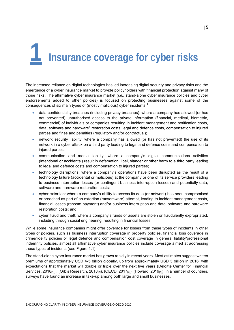# <span id="page-5-0"></span>**1 Insurance coverage for cyber risks**

The increased reliance on digital technologies has led increasing digital security and privacy risks and the emergence of a cyber insurance market to provide policyholders with financial protection against many of those risks. The affirmative cyber insurance market (*i.e.,* stand-alone cyber insurance policies and cyber endorsements added to other policies) is focused on protecting businesses against some of the consequences of six main types of (mostly malicious) cyber incidents: $1$ 

- data confidentiality breaches (including privacy breaches): where a company has allowed (or has not prevented) unauthorised access to the private information (financial, medical, biometric, commercial) of individuals or companies resulting in incident management and notification costs, data, software and hardware<sup>2</sup> restoration costs, legal and defence costs, compensation to injured parties and fines and penalties (regulatory and/or contractual);
- network security liability: where a company has allowed (or has not prevented) the use of its network in a cyber attack on a third party leading to legal and defence costs and compensation to injured parties;
- communication and media liability: where a company's digital communications activities (intentional or accidental) result in defamation, libel, slander or other harm to a third party leading to legal and defence costs and compensation to injured parties;
- technology disruptions: where a company's operations have been disrupted as the result of a technology failure (accidental or malicious) at the company or one of its service providers leading to business interruption losses (or contingent business interruption losses) and potentially data, software and hardware restoration costs;
- cyber extortion: where a company's ability to access its data (or network) has been compromised or breached as part of an extortion (ransomware) attempt, leading to incident management costs, financial losses (ransom payment) and/or business interruption and data, software and hardware restoration costs; and
- cyber fraud and theft: where a company's funds or assets are stolen or fraudulently expropriated, including through social engineering, resulting in financial losses.

While some insurance companies might offer coverage for losses from these types of incidents in other types of policies, such as business interruption coverage in property policies, financial loss coverage in crime/fidelity policies or legal defence and compensation cost coverage in general liability/professional indemnity policies, almost all affirmative cyber insurance policies include coverage aimed at addressing these types of incidents (see Figure 1.1).

The stand-alone cyber insurance market has grown rapidly in recent years. Most estimates suggest written premiums of approximately USD 4-5 billion globally, up from approximately USD 3 billion in 2016, with expectations that the market will double or triple over the next five years (Deloitte Center for Financial Services, 2018 $_{[1]}$ ), (Orbis Research, 2018 $_{[2]}$ ), (OECD, 2017 $_{[3]}$ ), (Howard, 2019 $_{[4]}$ ). In a number of countries, surveys have found an increase in take-up among both large and small businesses.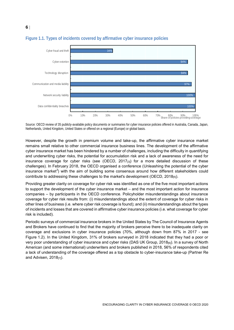

#### <span id="page-6-0"></span>**Figure 1.1. Types of incidents covered by affirmative cyber insurance policies**

**6**

Source: OECD review of 35 publicly-available policy documents or summaries for cyber insurance policies offered in Australia, Canada, Japan, Netherlands, United Kingdom, United States or offered on a regional (Europe) or global basis.

However, despite the growth in premium volume and take-up, the affirmative cyber insurance market remains small relative to other commercial insurance business lines. The development of the affirmative cyber insurance market has been hindered by a number of challenges, including the difficulty in quantifying and underwriting cyber risks, the potential for accumulation risk and a lack of awareness of the need for insurance coverage for cyber risks (see (OECD,  $2017_{[3]}$ ) for a more detailed discussion of these challenges). In February 2018, the OECD organised a conference (Unleashing the potential of the cyber insurance market*<sup>3</sup>* ) with the aim of building some consensus around how different stakeholders could contribute to addressing these challenges to the market's development (OECD, 2018[5]).

Providing greater clarity on coverage for cyber risk was identified as one of the five most important actions to support the development of the cyber insurance market – and the most important action for insurance companies – by participants in the OECD conference. Policyholder misunderstandings about insurance coverage for cyber risk results from: (i) misunderstandings about the extent of coverage for cyber risks in other lines of business (i.e. where cyber risk coverage is found); and (ii) misunderstandings about the types of incidents and losses that are covered in affirmative cyber insurance policies (i.e. what coverage for cyber risk is included).

Periodic surveys of commercial insurance brokers in the United States by The Council of Insurance Agents and Brokers have continued to find that the majority of brokers perceive there to be inadequate clarity on coverage and exclusions in cyber insurance policies (70%, although down from 87% in 2017 - see Figure 1.2). In the United Kingdom, 31% of brokers surveyed in 2018 indicated that they had a poor or very poor understanding of cyber insurance and cyber risks (DAS UK Group, 2018[6]). In a survey of North American (and some international) underwriters and brokers published in 2018, 56% of respondents cited a lack of understanding of the coverage offered as a top obstacle to cyber-insurance take-up (Partner Re and Advisen,  $2018_{[7]}$ ).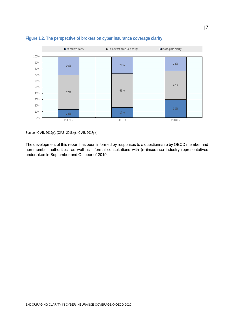

#### <span id="page-7-0"></span>**Figure 1.2. The perspective of brokers on cyber insurance coverage clarity**

Source: (CIAB, 2019[8]), (CIAB, 2018[9]), (CIAB, 2017[10])

The development of this report has been informed by responses to a questionnaire by OECD member and non-member authorities<sup>4</sup> as well as informal consultations with (re)insurance industry representatives undertaken in September and October of 2019.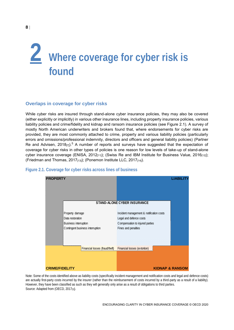# <span id="page-8-0"></span>**2 Where coverage for cyber risk is found**

#### <span id="page-8-1"></span>**Overlaps in coverage for cyber risks**

While cyber risks are insured through stand-alone cyber insurance policies, they may also be covered (either explicitly or implicitly) in various other insurance lines, including property insurance policies, various liability policies and crime/fidelity and kidnap and ransom insurance policies (see Figure 2.1). A survey of mostly North American underwriters and brokers found that, where endorsements for cyber risks are provided, they are most commonly attached to crime, property and various liability policies (particularly errors and omissions/professional indemnity, directors and officers and general liability policies) (Partner Re and Advisen, 2018 $_{[7]}$ ).<sup>5</sup> A number of reports and surveys have suggested that the expectation of coverage for cyber risks in other types of policies is one reason for low levels of take-up of stand-alone cyber insurance coverage (ENISA, 2012 $_{[11]}$ ); (Swiss Re and IBM Institute for Business Value, 2016 $_{[12]}$ ); (Friedman and Thomas, 2017<sub>[13]</sub>); (Ponemon Institute LLC, 2017<sub>[14]</sub>).



#### <span id="page-8-2"></span>**Figure 2.1. Coverage for cyber risks across lines of business**

Note: Some of the costs identified above as liability costs (specifically incident management and notification costs and legal and defence costs) are actually first-party costs incurred by the insurer (rather than the reimbursement of costs incurred by a third-party as a result of a liability). However, they have been classified as such as they will generally only arise as a result of obligations to third parties. Source: Adapted from (OECD, 2017[3]).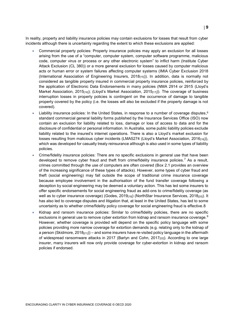In reality, property and liability insurance policies may contain exclusions for losses that result from cyber incidents although there is uncertainty regarding the extent to which these exclusions are applied:

- Commercial property policies: Property insurance policies may apply an exclusion for all losses arising from the use of a "computer, computer system, computer software programme, malicious code, computer virus or process or any other electronic system" to inflict harm (Institute Cyber Attack Exclusion (CL 380)) or a more general exclusion for losses caused by computer malicious acts or human error or system failures affecting computer systems (IMIA Cyber Exclusion 2018 (International Association of Engineering Insurers, 2018[15])). In addition, data is normally not considered as tangible property insured in commercial property insurance policies, reinforced by the application of Electronic Data Endorsements in many policies (NMA 2914 or 2915 (Lloyd's Market Association, 2015 $_{[16]}$ ); (Lloyd's Market Association, 2015 $_{[17]}$ )). The coverage of business interruption losses in property policies is contingent on the occurrence of damage to tangible property covered by the policy (i.e. the losses will also be excluded if the property damage is not covered).
- $\bullet$  Liability insurance policies: In the United States, in response to a number of coverage disputes,  $^6$ standard commercial general liability forms published by the Insurance Services Office (ISO) now contain an exclusion for liability related to loss, damage or loss of access to data and for the disclosure of confidential or personal information. In Australia, some public liability policies exclude liability related to the insured's internet operations. There is also a Lloyd's market exclusion for losses resulting from malicious cyber incidents (LMA5274 (Lloyd's Market Association, 2016[18])), which was developed for casualty treaty reinsurance although is also used in some types of liability policies.
- Crime/fidelity insurance policies: There are no specific exclusions in general use that have been developed to remove cyber fraud and theft from crime/fidelity insurance policies.<sup>7</sup> As a result, crimes committed through the use of computers are often covered (Box 2.1 provides an overview of the increasing significance of these types of attacks). However, some types of cyber fraud and theft (social engineering) may fall outside the scope of traditional crime insurance coverage because employee involvement in the authorisation of the fund transfer coverage following a deception by social engineering may be deemed a voluntary action. This has led some insurers to offer specific endorsements for social engineering fraud as add-ons to crime/fidelity coverage (as well as to cyber insurance coverage) (Godes, 2019<sub>[19]</sub>) (NorthStar Insurance Services, 2018<sub>[20]</sub>). It has also led to coverage disputes and litigation that, at least in the United States, has led to some uncertainty as to whether crime/fidelity policy coverage for social engineering fraud is effective.8
- Kidnap and ransom insurance policies: Similar to crime/fidelity policies, there are no specific exclusions in general use to remove cyber extortion from kidnap and ransom insurance coverage.<sup>9</sup> However, whether coverage is provided will depend on the specific policy language with some policies providing more narrow coverage for extortion demands (e.g. relating only to the kidnap of a person (Skidmore,  $2018_{[21]}$ ) – and some insurers have re-visited policy language in the aftermath of widespread ransomware attacks in 2017 (Barlyn and Cohn, 2017<sub>[22]</sub>). According to one large insurer, many insurers will now only provide coverage for cyber-extortion in kidnap and ransom policies if endorsed.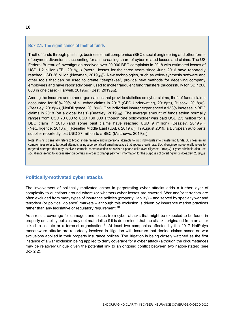#### <span id="page-10-1"></span>**Box 2.1. The significance of theft of funds**

Theft of funds through phishing, business email compromise (BEC), social engineering and other forms of payment diversion is accounting for an increasing share of cyber-related losses and claims. The US Federal Bureau of Investigation received over 20 000 BEC complaints in 2018 with estimated losses of USD 1.2 billion (FBI, 2019<sub>[23]</sub>) (overall losses for the three years since June 2016 have reportedly reached USD 26 billion (Newman, 2019<sub>[24]</sub>)). New technologies, such as voice-synthesis software and other tools that can be used to create "deepfakes", provide new methods for deceiving company employees and have reportedly been used to incite fraudulent fund transfers (successfully for GBP 200 000 in one case) (Harwell, 2019<sub>[25]</sub>) (Best, 2019<sub>[26]</sub>).

Among the insurers and other organisations that provide statistics on cyber claims, theft of funds claims accounted for 10%-29% of all cyber claims in 2017 (CFC Underwriting, 2018 $(z_7)$ ), (Hiscox, 2018 $(z_8)$ ), (Beazley, 2018<sub>[29]</sub>), (NetDiligence, 2018<sub>[30]</sub>). One individual insurer experienced a 133% increase in BEC claims in 2018 (on a global basis) (Beazley, 2019 $_{[31]}$ ). The average amount of funds stolen normally ranges from USD 70 000 to USD 130 000 although one policyholder was paid USD 2.5 million for a BEC claim in 2018 (and some past claims have reached USD 9 million) (Beazley, 2019 $_{[31]}$ ), (NetDiligence, 2018[30]) (Reseller Middle East (UAE), 2019[32]). In August 2019, a European auto parts supplier reportedly lost USD 37 million to a BEC (Matthews, 2019[33]).

Note: Phishing generally refers to broad, indiscriminate and impersonal attempts to trick individuals into transferring funds. Business email compromises refer to targeted attempts using a personalised email message that appears legitimate. Social engineering generally refers to targeted attempts that may involve electronic communication as wells as phone calls (NetDiligence, 2018[30]). Cyber criminals also use social engineering to access user credentials in order to change payment information for the purposes of diverting funds (Beazley, 2019[31]).

#### <span id="page-10-0"></span>**Politically-motivated cyber attacks**

The involvement of politically motivated actors in perpetrating cyber attacks adds a further layer of complexity to questions around where (or whether) cyber losses are covered. War and/or terrorism are often excluded from many types of insurance policies (property, liability) – and served by specialty war and terrorism (or political violence) markets – although this exclusion is driven by insurance market practices rather than any legislative or regulatory requirement.<sup>10</sup>

As a result, coverage for damages and losses from cyber attacks that might be expected to be found in property or liability policies may not materialise if it is determined that the attacks originated from an actor linked to a state or a terrorist organisation.<sup>11</sup> At least two companies affected by the 2017 NotPetya ransomware attacks are reportedly involved in litigation with insurers that denied claims based on war exclusions applied in their property insurance polices. The litigation is being closely watched as the first instance of a war exclusion being applied to deny coverage for a cyber attack (although the circumstances may be relatively unique given the potential link to an ongoing conflict between two nation-states) (see Box 2.2).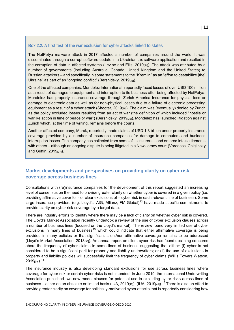#### <span id="page-11-1"></span>**Box 2.2. A first test of the war exclusion for cyber attacks linked to states**

The NotPetya malware attack in 2017 affected a number of companies around the world. It was disseminated through a corrupt software update in a Ukrainian tax software application and resulted in the corruption of data in affected systems (Levine and Ellis, 2019<sub>[34]</sub>). The attack was attributed by a number of governments (including Australia, Canada, United Kingdom and the United States) to Russian attackers – and specifically in some statements to the "Kremlin" as an "effort to destabilize [the] Ukraine" as part of an "ongoing conflict" (Bershidsky, 2019<sup>[35]</sup>).

One of the affected companies, Mondelez International, reportedly faced losses of over USD 100 million as a result of damages to equipment and interruption to its business after being affected by NotPetya. Mondelez had property insurance coverage through Zurich America Insurance for physical loss or damage to electronic data as well as for non-physical losses due to a failure of electronic processing equipment as a result of a cyber attack (Shooter, 2019<sub>[36]</sub>). The claim was (eventually) denied by Zurich as the policy excluded losses resulting from an act of war (the definition of which included "hostile or warlike action in time of peace or war") (Bershidsky, 2019<sub>[35]</sub>). Mondelez has launched litigation against Zurich which, at the time of writing, remains before the courts.

Another affected company, Merck, reportedly made claims of USD 1.3 billion under property insurance coverage provided by a number of insurance companies for damage to computers and business interruption losses. The company has collected from some of its insurers – and entered into settlements with others – although an ongoing dispute is being litigated in a New Jersey court (Voreacos, Chiglinsky and Griffin, 2019[37]).

#### <span id="page-11-0"></span>**Market developments and perspectives on providing clarity on cyber risk coverage across business lines**

Consultations with (re)insurance companies for the development of this report suggested an increasing level of consensus on the need to provide greater clarity on whether cyber is covered in a given policy (i.e. providing affirmative cover for - or clear exclusions of – cyber risk in each relevant line of business). Some large insurance providers (e.g. Lloyd's, AIG, Allianz, FM Global)<sup>12</sup> have made specific commitments to provide clarity on cyber risk coverage by a target date.

There are industry efforts to identify where there may be a lack of clarity on whether cyber risk is covered. The Lloyd's Market Association recently undertook a review of the use of cyber exclusion clauses across a number of business lines (focused on the Lloyd's market). The review found very limited use of cyber exclusions in many lines of business<sup>13</sup> which could indicate that either affirmative coverage is being provided in many policies or that significant silent/non-affirmative coverage remains to be addressed (Lloyd's Market Association, 2018[38]). An annual report on silent cyber risk has found declining concerns about the frequency of cyber claims in some lines of business suggesting that either: (i) cyber is not considered to be a significant peril for property and liability underwriters; or (ii) the use of exclusions in property and liability policies will successfully limit the frequency of cyber claims (Willis Towers Watson, 2019<sub>[39]</sub>).<sup>14</sup>

The insurance industry is also developing standard exclusions for use across business lines where coverage for cyber risk or certain cyber risks is not intended. In June 2019, the International Underwriting Association published two new model clauses for potential use in excluding cyber risks across lines of business – either on an absolute or limited basis (IUA, 2019 $_{[40]}$ ), (IUA, 2019 $_{[41]}$ ).<sup>15</sup> There is also an effort to provide greater clarity on coverage for politically-motivated cyber attacks that is reportedly considering how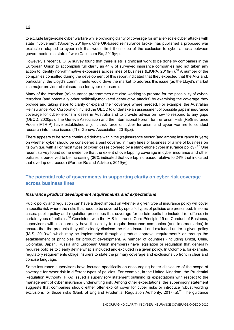to exclude large-scale cyber warfare while providing clarity of coverage for smaller-scale cyber attacks with state involvement (Spoerry, 2019 $_{42}$ ). One UK-based reinsurance broker has published a proposed war exclusion adapted to cyber risk that would limit the scope of the exclusion to cyber-attacks between governments in a state of war (Capiscum Re, 2019<sub>[43]</sub>).

However, a recent EIOPA survey found that there is still significant work to be done by companies in the European Union to accomplish full clarity as 41% of surveyed insurance companies had not taken any action to identify non-affirmative exposures across lines of business (EIOPA, 2019 $_{[44]}$ ).<sup>16</sup> A number of the companies consulted during the development of this report indicated that they expected that the AIG and, particularly, the Lloyd's commitments would drive the market to address this issue (as the Lloyd's market is a major provider of reinsurance for cyber exposure).

Many of the terrorism (re)insurance programmes are also working to prepare for the possibility of cyberterrorism (and potentially other politically-motivated destructive attacks) by examining the coverage they provide and taking steps to clarify or expand their coverage where needed. For example, the Australian Reinsurance Pool Corporation invited the OECD to undertake an assessment of possible gaps in insurance coverage for cyber-terrorism losses in Australia and to provide advice on how to respond to any gaps (OECD, 2020[45]). The Geneva Association and the International Forum for Terrorism Risk (Re)Insurance Pools (IFTRIP) have established a joint task force on cyber terrorism and cyber warfare to conduct research into these issues (The Geneva Association, 2019[46]).

There appears to be some continued debate within the (re)insurance sector (and among insurance buyers) on whether cyber should be considered a peril covered in many lines of business or a line of business on its own (i.e. with all or most types of cyber losses covered by a stand-alone cyber insurance policy).<sup>17</sup> One recent survey found some evidence that the extent of overlapping coverage in cyber insurance and other policies is perceived to be increasing (36% indicated that overlap increased relative to 24% that indicated that overlap decreased) (Partner Re and Advisen,  $2019_{[47]}$ ).

#### <span id="page-12-0"></span>**The potential role of governments in supporting clarity on cyber risk coverage across business lines**

#### *Insurance product development requirements and expectations*

Public policy and regulation can have a direct impact on whether a given type of insurance policy will cover a specific risk where the risks that need to be covered by specific types of policies are prescribed. In some cases, public policy and regulation prescribes that coverage for certain perils be included (or offered) in certain types of policies.<sup>18</sup> Consistent with the IAIS Insurance Core Principle 19 on Conduct of Business, supervisors will also normally have the ability to require insurance companies (and intermediaries) to ensure that the products they offer clearly disclose the risks insured and excluded under a given policy (IAIS, 2019 $_{[48]}$ ) which may be implemented through a product approval requirement<sup>19</sup> or through the establishment of principles for product development. A number of countries (including Brazil, Chile, Colombia, Japan, Russia and European Union members) have legislation or regulation that generally requires policies to clearly define what is included and excluded in a given policy. In Colombia, for example, regulatory requirements oblige insurers to state the primary coverage and exclusions up front in clear and concise language.

Some insurance supervisors have focused specifically on encouraging better disclosure of the scope of coverage for cyber risk in different types of policies. For example, in the United Kingdom, the Prudential Regulation Authority (PRA) issued a supervisory statement outlining its expectations with respect to the management of cyber insurance underwriting risk. Among other expectations, the supervisory statement suggests that companies should either offer explicit cover for cyber risks or introduce robust wording exclusions for those risks (Bank of England Prudential Regulation Authority, 2017<sub>[49]</sub>).<sup>20</sup> The guidance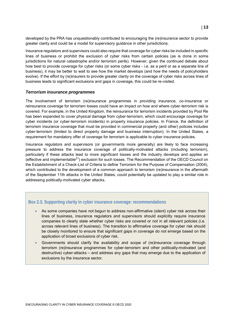developed by the PRA has unquestionably contributed to encouraging the (re)insurance sector to provide greater clarity and could be a model for supervisory guidance in other jurisdictions.

Insurance regulators and supervisors could also require that coverage for cyber risks be included in specific lines of business or prohibit the exclusion of cyber risks from certain policies (as is done in some jurisdictions for natural catastrophe and/or terrorism perils). However, given the continued debate about how best to provide coverage for cyber risks (or some cyber risks - i.e. as a peril or as a separate line of business), it may be better to wait to see how the market develops (and how the needs of policyholders evolve). If the effort by (re)insurers to provide greater clarity on the coverage of cyber risks across lines of business leads to significant exclusions and gaps in coverage, this could be re-visited.

#### *Terrorism insurance programmes*

The involvement of terrorism (re)insurance programmes in providing insurance, co-insurance or reinsurance coverage for terrorism losses could have an impact on how and where cyber-terrorism risk is covered. For example, in the United Kingdom, the reinsurance for terrorism incidents provided by Pool Re has been expanded to cover physical damage from cyber-terrorism, which could encourage coverage for cyber incidents (or cyber-terrorism incidents) in property insurance policies. In France, the definition of terrorism insurance coverage that must be provided in commercial property (and other) policies includes cyber-terrorism (limited to direct property damage and business interruption). In the United States, a requirement for mandatory offer of coverage for terrorism is applicable to cyber insurance policies.

Insurance regulators and supervisors (or governments more generally) are likely to face increasing pressure to address the insurance coverage of politically-motivated attacks (including terrorism), particularly if these attacks lead to more significant losses and the industry develops and applies an (effective and implementable<sup>21</sup>) exclusion for such losses. The Recommendation of the OECD Council on the Establishment of a Check-List of Criteria to define Terrorism for the Purpose of Compensation (2004), which contributed to the development of a common approach to terrorism (re)insurance in the aftermath of the September 11th attacks in the United States, could potentially be updated to play a similar role in addressing politically-motivated cyber attacks.

#### <span id="page-13-0"></span>**Box 2.3. Supporting clarity in cyber insurance coverage: recommendations**

- As some companies have not begun to address non-affirmative (silent) cyber risk across their lines of business, insurance regulators and supervisors should explicitly require insurance companies to clearly state whether cyber risks are covered or not in all relevant policies (i.e. across relevant lines of business). The transition to affirmative coverage for cyber risk should be closely monitored to ensure that significant gaps in coverage do not emerge based on the application of broad exclusions of cyber risk.
- Governments should clarify the availability and scope of (re)insurance coverage through terrorism (re)insurance programmes for cyber-terrorism and other politically-motivated (and destructive) cyber-attacks – and address any gaps that may emerge due to the application of exclusions by the insurance sector.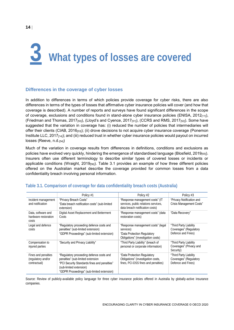# <span id="page-14-0"></span>**3 What types of losses are covered**

#### <span id="page-14-1"></span>**Differences in the coverage of cyber losses**

In addition to differences in terms of which policies provide coverage for cyber risks, there are also differences in terms of the types of losses that affirmative cyber insurance policies will cover (and how that coverage is described). A number of reports and surveys have found significant differences in the scope of coverage, exclusions and conditions found in stand-alone cyber insurance policies (ENISA, 2012 $_{[11]}$ ), (Friedman and Thomas, 2017 $_{[50]}$ ), (Lloyd's and Cyence, 2017 $_{[51]}$ ), (CCRS and RMS, 2017 $_{[52]}$ ). Some have suggested that the variation in coverage has: (i) reduced the number of policies that intermediaries will offer their clients (CIAB, 2016[53]); (ii) drove decisions to not acquire cyber insurance coverage (Ponemon Institute LLC, 2017[14]); and (iii) reduced trust in whether cyber insurance policies would payout on incurred losses (Reeve, n.d.[54])

Much of the variation in coverage results from differences in definitions, conditions and exclusions as policies have evolved very quickly, hindering the emergence of standardised language (Blosfield, 2019[55]). Insurers often use different terminology to describe similar types of covered losses or incidents or applicable conditions (Wraight, 2019 $_{[56]}$ ). Table 3.1 provides an example of how three different policies offered on the Australian market describe the coverage provided for common losses from a data confidentiality breach involving personal information.

|                                                           | Policy #1                                                                                                                                                                                              | Policy #2                                                                                                            | Policy #3                                                              |
|-----------------------------------------------------------|--------------------------------------------------------------------------------------------------------------------------------------------------------------------------------------------------------|----------------------------------------------------------------------------------------------------------------------|------------------------------------------------------------------------|
| Incident management<br>and notification                   | "Privacy Breach Costs"<br>"Data breach notification costs" (sub-limited<br>extension)                                                                                                                  | "Response management costs" (IT<br>services, public relations services,<br>data breach notification costs)           | "Privacy Notification and<br><b>Crisis Management Costs"</b>           |
| Data, software and<br>hardware restoration<br>costs       | Digital Asset Replacement and Betterment<br>Costs                                                                                                                                                      | "Response management costs" (data<br>restoration costs)                                                              | "Data Recovery"                                                        |
| Legal and defence<br>costs                                | "Regulatory proceeding defence costs and<br>penalties" (sub-limited extension)<br>"GDPR Proceedings" (sub-limited extension)                                                                           | "Response management costs" (legal<br>services)<br>"Data Protection Regulatory<br>Obligations" (investigation costs) | "Third Party Liability<br>Coverages" (Regulatory<br>Defence and Fines) |
| Compensation to<br>injured parties                        | "Security and Privacy Liability"                                                                                                                                                                       | "Third Party Liability" (breach of<br>personal or corporate information)                                             | "Third Party Liability<br>Coverages" (Privacy and<br>Security)         |
| Fines and penalties<br>(regulatory and/or<br>contractual) | "Regulatory proceeding defence costs and<br>penalties" (sub-limited extension<br>"PCI Security Standards fines and penalties"<br>(sub-limited extension)<br>"GDPR Proceedings" (sub-limited extension) | "Data Protection Regulatory<br>Obligations" (investigation costs,<br>fines, PCI-DSS fines and penalties)             | "Third Party Liability<br>Coverages" (Regulatory<br>Defence and Fines) |

#### <span id="page-14-2"></span>**Table 3.1. Comparison of coverage for data confidentiality breach costs (Australia)**

Source: Review of publicly-available policy language for three cyber insurance policies offered in Australia by globally-active insurance companies.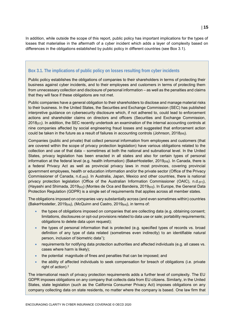In addition, while outside the scope of this report, public policy has important implications for the types of losses that materialise in the aftermath of a cyber incident which adds a layer of complexity based on differences in the obligations established by public policy in different countries (see Box 3.1).

#### <span id="page-15-0"></span>**Box 3.1. The implications of public policy on losses resulting from cyber incidents**

Public policy establishes the obligations of companies to their shareholders in terms of protecting their business against cyber incidents, and to their employees and customers in terms of protecting them from unnecessary collection and disclosure of personal information – as well as the penalties and claims that they will face if these obligations are not met.

Public companies have a general obligation to their shareholders to disclose and manage material risks to their business. In the United States, the Securities and Exchange Commission (SEC) has published interpretive guidance on cybersecurity disclosure which, if not adhered to, could lead to enforcement actions and shareholder claims on directors and officers (Securities and Exchange Commission,  $2018_{[57]}$ ). In addition, the SEC recently undertook an examination of the internal accounting controls at nine companies affected by social engineering fraud losses and suggested that enforcement action could be taken in the future as a result of failures in accounting controls (Johnson, 2018[58]).

Companies (public and private) that collect personal information from employees and customers (that are covered within the scope of privacy protection legislation) have various obligations related to the collection and use of that data – sometimes at both the national and subnational level. In the United States, privacy legislation has been enacted in all states and also for certain types of personal information at the federal level (e.g. health information) (BakerHostetler, 2019<sub>[59]</sub>). In Canada, there is a federal Privacy Act as well as provincial privacy laws in most provinces, covering provincial government employees, health or education information and/or the private sector (Office of the Privacy Commissioner of Canada, n.d.[60]). In Australia, Japan, Mexico and other countries, there is national privacy protection legislation (Office of the Australian Information Commissioner (OAIC), n.d.[61]), (Hayashi and Shimada, 2019[62]) (Montes de Oca and Bandeira, 2019[63]). In Europe, the General Data Protection Regulation (GDPR) is a single set of requirements that applies across all member states.

The obligations imposed on companies vary substantially across (and even sometimes within) countries (BakerHostetler, 2019[59]), (McQuinn and Castro, 2019[64]), in terms of:

- $\bullet$  the types of obligations imposed on companies that are collecting data (e.g. obtaining consent; limitations, disclosures or opt-out provisions related to data use or sale; portability requirements; obligations to delete data upon request);
- the types of personal information that is protected (e.g. specified types of records vs. broad definition of any type of data related (sometimes even indirectly) to an identifiable natural person, inclusion of biometric data $^{\rm 1)}$ ;
- requirements for notifying data protection authorities and affected individuals (e.g. all cases vs. cases where harm is likely);
- the potential magnitude of fines and penalties that can be imposed; and
- the ability of affected individuals to seek compensation for breach of obligations (i.e. private right of action).<sup>2</sup>

The international reach of privacy protection requirements adds a further level of complexity. The EU GDPR imposes obligations on any company that collects data from EU citizens. Similarly, in the United States, state legislation (such as the California Consumer Privacy Act) imposes obligations on any company collecting data on state residents, no matter where the company is based. One law firm that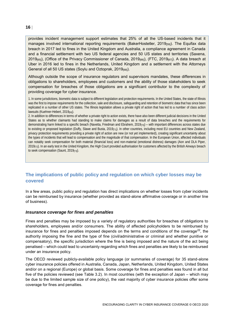provides incident management support estimates that 25% of all the US-based incidents that it manages involved international reporting requirements (BakerHostetler, 2019<sub>[59]</sub>). The Equifax data breach in 2017 led to fines in the United Kingdom and Australia, a compliance agreement in Canada and a financial settlement with two US federal agencies and 50 US states and territories (Saxena,  $2019_{[65]}$ , (Office of the Privacy Commissioner of Canada,  $2019_{[66]}$ ), (FTC,  $2019_{[67]}$ ). A data breach at Uber in 2016 led to fines in the Netherlands, United Kingdom and a settlement with the Attorneys General of all 50 US states (Soylu and Oztoprak, 2019<sub>[68]</sub>).

Although outside the scope of insurance regulators and supervisors mandates, these differences in obligations to shareholders, employees and customers and the ability of those stakeholders to seek compensation for breaches of those obligations are a significant contributor to the complexity of providing coverage for cyber insurance.

1. In some jurisdictions, biometric data is subject to different legislation and protection requirements. In the United States, the state of Illinois was the first to impose requirements for the collection, sale and disclosure, safeguarding and retention of biometric data that has since been replicated in a number of other US states. The Illinois legislation allows a private right of action that has led to a number of class action lawsuits (Kuehner-Hebert, 2019<sub>[69]</sub>).

2. In addition to differences in terms of whether a private right to action exists, there have also been different judicial decisions in the United States as to whether claimants had standing to make claims for damages as a result of data breaches and the requirements for demonstrating harm linked to a specific breach (Navetta, Friedman and Ebrahem, 2019<sub>[70]</sub>) – with important differences across states due to existing or proposed legislation (Duffy, Slawe and Busta, 2019<sub>[71]</sub>). In other countries, including most EU countries and New Zealand, privacy protection requirements providing a private right of action are new (or not yet implemented), creating significant uncertainty about the types of incidents that will lead to compensation and the magnitude of that compensation. In the European Union, affected individuals can notably seek compensation for both material (financial loss) and non-material (emotional distress) damages (Aon and DLA Piper, 2019[72]). In an early test in the United Kingdom, the High Court provided authorisation for customers affected by the British Airways breach to seek compensation (Saunt, 2019[73]).

#### <span id="page-16-0"></span>**The implications of public policy and regulation on which cyber losses may be covered**

In a few areas, public policy and regulation has direct implications on whether losses from cyber incidents can be reimbursed by insurance (whether provided as stand-alone affirmative coverage or in another line of business).

#### *Insurance coverage for fines and penalties*

Fines and penalties may be imposed by a variety of regulatory authorities for breaches of obligations to shareholders, employees and/or consumers. The ability of affected policyholders to be reimbursed by insurance for fines and penalties imposed depends on the terms and conditions of the coverage<sup>22</sup>, the authority imposing the fine and the type of fine (civil/administrative or criminal and whether punitive or compensatory), the specific jurisdiction where the fine is being imposed and the nature of the act being penalised – which could lead to uncertainty regarding which fines and penalties are likely to be reimbursed under an insurance policy.

The OECD reviewed publicly-available policy language (or summaries of coverage) for 35 stand-alone cyber insurance policies offered in Australia, Canada, Japan, Netherlands, United Kingdom, United States and/or on a regional (Europe) or global basis. Some coverage for fines and penalties was found in all but five of the policies reviewed (see Table 3.2). In most countries (with the exception of Japan – which may be due to the limited sample size of one policy), the vast majority of cyber insurance policies offer some coverage for fines and penalties.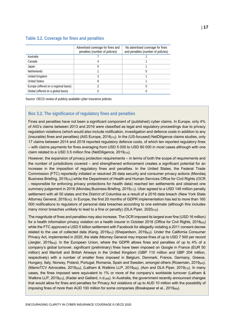#### <span id="page-17-0"></span>**Table 3.2. Coverage for fines and penalties**

|                                      | Advertised coverage for fines and<br>penalties (number of policies) | No advertised coverage for fines<br>and penalties (number of policies) |
|--------------------------------------|---------------------------------------------------------------------|------------------------------------------------------------------------|
| Australia                            |                                                                     |                                                                        |
| Canada                               |                                                                     |                                                                        |
| Japan                                |                                                                     |                                                                        |
| <b>Netherlands</b>                   |                                                                     |                                                                        |
| United Kingdom                       |                                                                     |                                                                        |
| <b>United States</b>                 |                                                                     |                                                                        |
| Europe (offered on a regional basis) |                                                                     |                                                                        |
| Global (offered on a global basis)   | 5                                                                   |                                                                        |

Source: OECD review of publicly available cyber insurance policies

#### <span id="page-17-1"></span>**Box 3.2. The significance of regulatory fines and penalties**

Fines and penalties have not been a significant component of (published) cyber claims. In Europe, only 4% of AIG's claims between 2013 and 2016 were classified as legal and regulatory proceedings due to privacy regulation violations (which would also include notification, investigation and defence costs in addition to any (insurable) fines and penalties) (AIG Europe, 2016[74]). In the (US-focused) NetDiligence claims studies, only 17 claims between 2014 and 2018 reported regulatory defence costs, of which ten reported regulatory fines – with claims payments for fines averaging from USD 5 000 to USD 60 000 in most cases although with one claim related to a USD 3.5 million fine (NetDiligence, 2019[75]).

However, the expansion of privacy protection requirements – in terms of both the scope of requirements and the number of jurisdictions covered – and strengthened enforcement creates a significant potential for an increase in the imposition of regulatory fines and penalties. In the United States, the Federal Trade Commission (FTC) reportedly initiated or resolved 29 data security and consumer privacy actions (Mondaq Business Briefing, 2019<sub>[76]</sub>) while the Department of Health and Human Services Office for Civil Rights (OCR - responsible for enforcing privacy protections for health data) reached ten settlements and obtained one summary judgement in 2018 (Mondaq Business Briefing, 2019<sub>[77]</sub>). Uber agreed to a USD 148 million penalty settlement with all 50 states and the District of Columbia as a result of a 2016 data breach (New York State Attorney General, 2018<sub>[78]</sub>). In Europe, the first 20 months of GDPR implementation has led to more than 160 000 notifications to regulators of personal data breaches according to one estimate (although this includes many minor breaches unlikely to lead to a fine or penalty) (DLA Piper,  $2020_{[79]}$ ).

The magnitude of fines and penalties may also increase. The OCR imposed its largest ever fine (USD 16 million) for a health information privacy violation on a health insurer in October 2018 (Office for Civil Rights, 2018<sup>[80]</sup>) while the FTC approved a USD 5 billion settlement with Facebook for allegedly violating a 2011 consent decree related to the use of collected data (Kang, 2019 $_{811}$ ) (Shepardson, 2019 $_{821}$ ). Under the California Consumer Privacy Act, implemented in 2020, the state Attorney General may impose fines of up to USD 7 500 per record (Jergler, 2019[83]). In the European Union, where the GDPR allows fines and penalties of up to 4% of a company's global turnover, significant (preliminary) fines have been imposed on Google in France (EUR 50 million) and Marriott and British Airways in the United Kingdom (GBP 110 million and GBP 204 million, respectively) with a number of smaller fines imposed in Belgium, Denmark, France, Germany, Greece, Hungary, Italy, Norway, Poland, Portugal, Romania, Spain and Sweden, amongst others (Rosemain, 2019<sub>[84]</sub>), (MamoTCV Advocates, 2019[85]), (Latham & Watkins LLP, 2019[86]), (Aon and DLA Piper, 2019[72]). In many cases, the fines imposed were equivalent to 1% or more of the company's worldwide turnover (Latham & Watkins LLP, 2019<sub>[87]</sub>), (Kadar and Gaillard, n.d.<sub>[88]</sub>). In Australia, the government recently announced changes that would allow for fines and penalties for Privacy Act violations of up to AUD 10 million with the possibility of imposing fines of more than AUD 100 million for some companies (Breakspear et al., 2019[89]).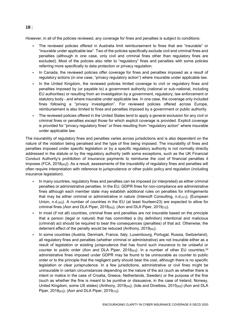However, in all of the policies reviewed, any coverage for fines and penalties is subject to conditions:

- The reviewed policies offered in Australia limit reimbursement to fines that are "insurable" or "insurable under applicable law". Two of the policies specifically exclude civil and criminal fines and penalties (although in one case, only civil and criminal fines other than regulatory fines are excluded). Most of the policies also refer to "regulatory" fines and penalties with some policies referring more specifically to data protection or privacy regulation.
- In Canada, the reviewed policies offer coverage for fines and penalties imposed as a result of regulatory actions (in one case, "privacy regulatory action") where insurable under applicable law.
- In the United Kingdom, the reviewed policies limited coverage to civil or regulatory fines and penalties imposed by (or payable to) a government authority (national or sub-national, including EU authorities) or resulting from an investigation by a government, regulatory, law enforcement or statutory body - and where insurable under applicable law. In one case, the coverage only included fines following a "privacy investigation". For reviewed policies offered across Europe, reimbursement is also limited to fines and penalties imposed by a government or public authority.
- The reviewed policies offered in the United States tend to apply a general exclusion for any civil or criminal fines or penalties except those for which explicit coverage is provided. Explicit coverage is provided for "privacy regulatory fines" or fines resulting from "regulatory action" where insurable under applicable law.

The insurability of regulatory fines and penalties varies across jurisdictions and is also dependent on the nature of the violation being penalised and the type of fine being imposed. The insurability of fines and penalties imposed under specific legislation or by a specific regulatory authority is not normally directly addressed in the statute or by the regulatory authority (with some exceptions, such as the UK Financial Conduct Authority's prohibition of insurance payments to reimburse the cost of financial penalties it imposes (FCA, 2018[90])). As a result, assessments of the insurability of regulatory fines and penalties will often require interpretation with reference to jurisprudence or other public policy and regulation (including insurance legislation):

- In many countries, regulatory fines and penalties can be imposed (or interpreted) as either criminal penalties or administrative penalties. In the EU, GDPR fines for non-compliance are administrative fines although each member state may establish additional rules on penalties for infringements that may be either criminal or administrative in nature (Intersoft Consulting, n.d.[91]), (European Union, n.d.<sub>[92]</sub>). A number of countries in the EU (at least fourteen23) are expected to allow for criminal fines (Aon and DLA Piper, 2018[93]), (Aon and DLA Piper, 2019[72]).
- In most (if not all) countries, criminal fines and penalties are not insurable based on the principle that a person (legal or natural) that has committed a (by definition) intentional and malicious (criminal) act should be required to bear the consequences (penalties) of that act. Otherwise, the deterrent effect of the penalty would be reduced (Anthony, 2019[94]).
- In some countries (Austria, Denmark, France, Italy, Luxembourg, Portugal, Russia, Switzerland), all regulatory fines and penalties (whether criminal or administrative) are not insurable either as a result of legislation or existing jurisprudence that has found such insurance to be unlawful or counter to public order (Aon and DLA Piper, 2018<sup>[93]</sup>). In a number of other EU countries,  $24$ administrative fines imposed under GDPR may be found to be uninsurable as counter to public order or to the principle that the negligent party should bear the cost, although there is no specific legislation or clear jurisprudence. In a few jurisdictions, administrative or civil fines might be uninsurable in certain circumstances depending on the nature of the act (such as whether there is intent or malice in the case of Croatia, Greece, Netherlands, Sweden) or the purpose of the fine (such as whether the fine is meant to be punitive or dissuasive, in the case of Ireland, Norway, United Kingdom, some US states) (Anthony, 2019<sub>[941</sub>), (Iole and Divelbiss, 2015<sub>[951</sub>) (Aon and DLA Piper, 2018<sub>[93]</sub>), (Aon and DLA Piper, 2019<sub>[72]</sub>).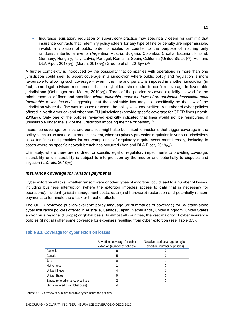Insurance legislation, regulation or supervisory practice may specifically deem (or confirm) that insurance contracts that indemnify policyholders for any type of fine or penalty are impermissible, invalid, a violation of public order principles or counter to the purpose of insuring only random/unintentional events (Argentina, Austria, Bulgaria, Colombia, Croatia, Estonia , Finland, Germany, Hungary, Italy, Latvia, Portugal, Romania, Spain, California (United States)<sup>25</sup>) (Aon and DLA Piper, 2018[93]), (Marsh, 2018[96]) (Greene et al., 2019[97]). 26

A further complexity is introduced by the possibility that companies with operations in more than one jurisdiction could seek to assert coverage in a jurisdiction where public policy and regulation is more favourable to allowing such coverage – even if the fine and penalty is imposed in another jurisdiction (in fact, some legal advisors recommend that policyholders should aim to confirm coverage in favourable jurisdictions (Oehninger and Moura, 2019<sub>[98]</sub>)). Three of the policies reviewed explicitly allowed for the reimbursement of fines and penalties *where insurable under the laws of an applicable jurisdiction most favourable to the insured* suggesting that the applicable law may not specifically be the law of the jurisdiction where the fine was imposed or where the policy was underwritten. A number of cyber policies offered in North America (and other non-EU jurisdictions) provide specific coverage for GDPR fines (Marsh, 2018[96]). Only one of the policies reviewed explicitly indicated that fines would not be reimbursed if uninsurable under the law of the jurisdiction imposing the fine or penalty. $27$ 

Insurance coverage for fines and penalties might also be limited to incidents that trigger coverage in the policy, such as an actual data breach incident, whereas privacy protection regulation in various jurisdictions allow for fines and penalties for non-compliance of regulatory requirements more broadly, including in cases where no specific network breach has occurred (Aon and DLA Piper, 2019 $\sigma$ <sub>[72]</sub>).

Ultimately, where there are no direct or specific legal or regulatory impediments to providing coverage, insurability or uninsurability is subject to interpretation by the insurer and potentially to disputes and litigation (LaCroix,  $2018_{[99]}$ ).

#### *Insurance coverage for ransom payments*

Cyber extortion attacks (whether ransomware or other types of extortion) could lead to a number of losses, including business interruption (where the extortion impedes access to data that is necessary for operations), incident (crisis) management costs, data (and hardware) restoration and potentially ransom payments to terminate the attack or threat of attack.

The OECD reviewed publicly-available policy language (or summaries of coverage) for 35 stand-alone cyber insurance policies offered in Australia, Canada, Japan, Netherlands, United Kingdom, United States and/or on a regional (Europe) or global basis. In almost all countries, the vast majority of cyber insurance policies (if not all) offer some coverage for expenses resulting from cyber extortion (see Table 3.3).

|                                      | Advertised coverage for cyber<br>extortion (number of policies) | No advertised coverage for cyber<br>extortion (number of policies) |
|--------------------------------------|-----------------------------------------------------------------|--------------------------------------------------------------------|
| Australia                            |                                                                 |                                                                    |
| Canada                               |                                                                 |                                                                    |
| Japan                                |                                                                 |                                                                    |
| <b>Netherlands</b>                   |                                                                 |                                                                    |
| United Kingdom                       |                                                                 |                                                                    |
| <b>United States</b>                 |                                                                 |                                                                    |
| Europe (offered on a regional basis) |                                                                 |                                                                    |
| Global (offered on a global basis)   |                                                                 |                                                                    |

#### <span id="page-19-0"></span>**Table 3.3. Coverage for cyber extortion losses**

Source: OECD review of publicly available cyber insurance policies.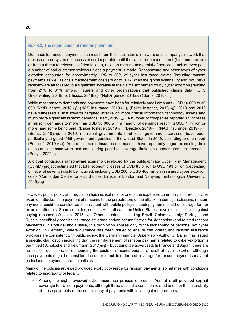#### <span id="page-20-0"></span>**Box 3.3. The significance of ransom payments**

Demands for ransom payments can result from the installation of malware on a company's network that makes data or systems inaccessible or inoperable until the ransom demand is met (i.e. ransomware) or from a threat to release confidential data, unleash a distributed denial-of-service attack or even post a number of bad customer reviews unless a payment is made. Ransomware and other types of cyber extortion accounted for approximately 10% to 20% of cyber insurance claims (including ransom payments as well as crisis management costs) prior to 2017 when the global WannaCry and Not Petya ransomware attacks led to a significant increase in the claims accounted for by cyber extortion (ranging from 21% to 31% among insurers and other organisations that published claims data) (CFC Underwriting, 2018<sub>[27]</sub>), (Hiscox, 2018<sub>[28]</sub>), (NetDiligence, 2018<sub>[30]</sub>) (Burns, 2018<sub>[100]</sub>).

While most ransom demands and payments have been for relatively small amounts (USD 10 000 to 30 000 (NetDiligence, 2018<sub>[30]</sub>), (NAS Insurance, 2019<sub>[101]</sub>), (BakerHostetler, 2019<sub>[59]</sub>)), 2018 and 2019 have witnessed a shift towards targeted attacks on more critical information technology assets and much more significant ransom demands (Iram, 2019<sub>[102]</sub>). A number of companies reported an increase in ransom demands to more than USD 50 000 with a handful of demands reaching USD 1 million or more (and some being paid) (BakerHostetler, 2019<sub>[59]</sub>), (Beazley, 2019<sub>[31]</sub>), (NAS Insurance, 2019<sub>[101]</sub>), (Burns, 2018[100]). In 2019, municipal governments (and local government services) have been particularly targeted (966 government agencies in the United States in 2019, according to one report (Emsisoft, 2019[103])). As a result, some insurance companies have reportedly begun examining their exposure to ransomware and considering possible coverage limitations and/or premium increases (Barlyn, 2020[104]).

A global contagious ransomware scenario developed by the public-private Cyber Risk Management (CyRiM) project estimated that total economic losses of USD 85 billion to USD 193 billion (depending on level of severity) could be incurred, including USD 200 to USD 400 million in insured cyber extortion costs (Cambridge Centre for Risk Studies, Lloyd's of London and Nanyang Technological University, 2019[105]).

However, public policy and regulation has implications for one of the expenses commonly incurred in cyber extortion attacks – the payment of ransoms to the perpetrators of the attack. In some jurisdictions, ransom payments could be considered inconsistent with public policy as such payments could encourage further extortion attempts. Some countries, such as Australia and the United States, have explicit policies against paying ransoms (Wesson, 2015<sub>[106]</sub>). Other countries, including Brazil, Colombia, Italy, Portugal and Russia, specifically prohibit insurance coverage and/or indemnification for kidnapping (and related ransom payments). In Portugal and Russia, this prohibition applies only to the kidnapping of persons, not cyber extortion. In Germany, where guidance has been issued to ensure that kidnap and ransom insurance practices are consistent with public policy, the German Financial Supervisory Authority (BaFin) has issued a specific clarification indicating that the reimbursement of ransom payments related to cyber-extortion is permitted (Schaloske and Feldmann, 2017<sub>[107]</sub>) – but cannot be advertised. In France and Japan, there are no explicit restrictions on reimbursing the costs of ransoms paid as a result of cyber extortion although such payments might be considered counter to public order and coverage for ransom payments may not be included in cyber insurance policies.

Many of the policies reviewed provided explicit coverage for ransom payments, sometimes with conditions related to insurability or legality:

 Among the eight reviewed cyber insurance policies offered in Australia, all provided explicit coverage for ransom payments, although three applied a condition related to either the insurability of those payments or the consistency of payments with local legal requirements;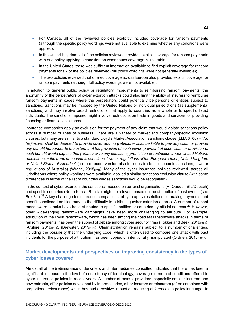- For Canada, all of the reviewed policies explicitly included coverage for ransom payments (although the specific policy wordings were not available to examine whether any conditions were applied);
- In the United Kingdom, all of the policies reviewed provided explicit coverage for ransom payments with one policy applying a condition on where such coverage is insurable;
- In the United States, there was sufficient information available to find explicit coverage for ransom payments for six of the policies reviewed (full policy wordings were not generally available);
- The two policies reviewed that offered coverage across Europe also provided explicit coverage for ransom payments (although full policy wordings were not available).

In addition to general public policy or regulatory impediments to reimbursing ransom payments, the anonymity of the perpetrators of cyber extortion attacks could also limit the ability of insurers to reimburse ransom payments in cases where the perpetrators could potentially be persons or entities subject to sanctions. Sanctions may be imposed by the United Nations or individual jurisdictions (as supplemental sanctions) and may involve broad restrictions that apply to countries as a whole or to specific listed individuals. The sanctions imposed might involve restrictions on trade in goods and services or providing financing or financial assistance.

Insurance companies apply an exclusion for the payment of any claim that would violate sanctions policy across a number of lines of business. There are a variety of market and company-specific exclusion clauses, but many are similar to a standard Lloyd's Market Association sanctions clause (LMA 3100) – "*No (re)insurer shall be deemed to provide cover and no (re)insurer shall be liable to pay any claim or provide any benefit hereunder to the extent that the provision of such cover, payment of such claim or provision of such benefit would expose that (re)insurer to any sanctions, prohibition or restriction under United Nations resolutions or the trade or economic sanctions, laws or regulations of the European Union, United Kingdom or United States of America*" (a more recent version also includes trade or economic sanctions, laws or regulations of Australia) (Wragg, 2015<sub>[108]</sub>). Many of the cyber insurance policies reviewed, across all jurisdictions where policy wordings were available, applied a similar sanctions exclusion clause (with some differences in terms of the list of countries whose sanctions would be recognised).

In the context of cyber extortion, the sanctions imposed on terrorist organisations (Al-Qaeda, ISIL/Daesch) and specific countries (North Korea, Russia) might be relevant based on the attribution of past events (see Box 3.4).<sup>28</sup> A key challenge for insurance companies' ability to apply restrictions on making payments that benefit sanctioned entities may be the difficulty in attributing cyber extortion attacks. A number of recent ransomware attacks have been attributed to specific entities or countries by official sources.<sup>29</sup> However, other wide-ranging ransomware campaigns have been more challenging to attribute. For example, attribution of the Ryuk ransomware, which has been among the costliest ransomware attacks in terms of ransom payments, has been the subject of debate among cyber security firms (Fokker and Beek, 2019<sub>[109]</sub>), (Arghire, 2019 $_{[110]}$ ), (Brewster, 2019 $_{[111]}$ ). Clear attribution remains subject to a number of challenges, including the possibility that the underlying code, which is often used to compare one attack with past incidents for the purpose of attribution, has been copied or intentionally manipulated (O'Brien, 2018[112]).

#### <span id="page-21-0"></span>**Market developments and perspectives on improving consistency in the types of cyber losses covered**

Almost all of the (re)insurance underwriters and intermediaries consulted indicated that there has been a significant increase in the level of consistency of terminology, coverage terms and conditions offered in cyber insurance policies in recent years. A number of market providers, especially smaller insurers and new entrants, offer policies developed by intermediaries, other insurers or reinsurers (often combined with proportional reinsurance) which has had a positive impact on reducing differences in policy language. In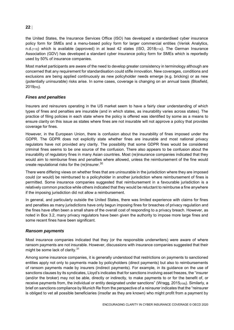#### the United States, the Insurance Services Office (ISO) has developed a standardised cyber insurance policy form for SMEs and a menu-based policy form for larger commercial entities (Verisk Analytics, n.d.<sub>[113]</sub>) which is available (approved) in at least 42 states (ISO, 2018<sub>[114]</sub>). The German Insurance Association (GDV) has developed a standard cyber insurance policy form for SMEs which is reportedly used by 50% of insurance companies.

Most market participants are aware of the need to develop greater consistency in terminology although are concerned that any requirement for standardisation could stifle innovation. New coverages, conditions and exclusions are being applied continuously as new policyholder needs emerge (e.g. bricking) or as new (potentially uninsurable) risks arise. In some cases, coverage is changing on an annual basis (Blosfield,  $2019$ [55]).

#### *Fines and penalties*

Insurers and reinsurers operating in the US market seem to have a fairly clear understanding of which types of fines and penalties are insurable (and in which states, as insurability varies across states). The practice of filing policies in each state where the policy is offered was identified by some as a means to ensure clarity on this issue as states where fines are not insurable will not approve a policy that provides coverage for fines.

However, in the European Union, there is confusion about the insurability of fines imposed under the GDPR. The GDPR does not explicitly state whether fines are insurable and most national privacy regulators have not provided any clarity. The possibility that some GDPR fines would be considered criminal fines seems to be one source of the confusion. There also appears to be confusion about the insurability of regulatory fines in many Asian countries. Most (re)insurance companies indicated that they would aim to reimburse fines and penalties where allowed, unless the reimbursement of the fine would create reputational risks for the (re)insurer. $^{30}$ 

There were differing views on whether fines that are uninsurable in the jurisdiction where they are imposed could (or would) be reimbursed to a policyholder in another jurisdiction where reimbursement of fines is permitted. Some insurance companies suggested that reimbursement in a favourable jurisdiction is a relatively common practice while others indicated that they would be reluctant to reimburse a fine anywhere if the imposing jurisdiction did not allow a reimbursement.

In general, and particularly outside the United States, there was limited experience with claims for fines and penalties as many jurisdictions have only begun imposing fines for breaches of privacy regulation and the fines have often been a small share of the overall cost of responding to a privacy breach. However, as noted in Box 3.2, many privacy regulators have been given the authority to impose more large fines and some recent fines have been significant.

#### *Ransom payments*

Most insurance companies indicated that they (or the responsible underwriters) were aware of where ransom payments are not insurable. However, discussions with insurance companies suggested that their might be some lack of clarity.<sup>31</sup>

Among some insurance companies, it is generally understood that restrictions on payments to sanctioned entities apply not only to payments made by policyholders (direct payments) but also to reimbursements of ransom payments made by insurers (indirect payments). For example, in its guidance on the use of sanctions clauses by its syndicates, Lloyd's indicates that for sanctions involving asset freezes, the "insurer (and/or the broker) may not be able, directly or indirectly, to make payments to or for the benefit of, or receive payments from, the individual or entity designated under sanctions" (Wragg, 2015<sub>[108]</sub>). Similarly, a brief on sanctions compliance by Munich Re from the perspective of a reinsurer indicates that the "reinsurer is obliged to vet all possible beneficiaries (insofar as they are known) who might profit from a payment by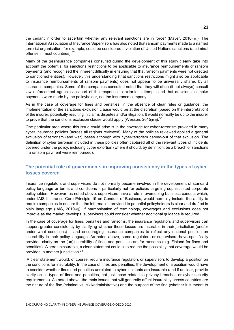the cedant in order to ascertain whether any relevant sanctions are in force" (Mayer, 2016<sub>[115]</sub>). The International Association of Insurance Supervisors has also noted that ransom payments made to a named terrorist organisation, for example, could be considered a violation of United Nations sanctions (a criminal offense in most countries). 32

Many of the (re)insurance companies consulted during the development of this study clearly take into account the potential for sanctions restrictions to be applicable to insurance reimbursements of ransom payments (and recognised the inherent difficulty in ensuring that that ransom payments were not directed to sanctioned entities). However, this understanding (that sanctions restrictions might also be applicable to insurance reimbursements of ransom payments) does not appear to be universally shared by all insurance companies. Some of the companies consulted noted that they will often (if not always) consult law enforcement agencies as part of the response to extortion attempts and that decisions to make payments were made by the policyholder, not the insurance company.

As in the case of coverage for fines and penalties, in the absence of clear rules or guidance, the implementation of the sanctions exclusion clause would be at the discretion (based on the interpretation) of the insurer, potentially resulting in claims disputes and/or litigation. It would normally be up to the insurer to prove that the sanctions exclusion clause would apply (Wesson, 2015 $_{\left[106\right]}$ ). $^{33}$ 

One particular area where this issue could arise is in the coverage for cyber-terrorism provided in many cyber insurance policies (across all regions reviewed). Many of the policies reviewed applied a general exclusion of terrorism (and war) losses although with cyber-terrorism carved-out of that exclusion. The definition of cyber terrorism included in these policies often captured all of the relevant types of incidents covered under the policy, including cyber extortion (where it should, by definition, be a breach of sanctions if a ransom payment were reimbursed).

#### <span id="page-23-0"></span>**The potential role of governments in improving consistency in the types of cyber losses covered**

Insurance regulators and supervisors do not normally become involved in the development of standard policy language or terms and conditions – particularly not for policies targeting sophisticated corporate policyholders. However, as noted above, supervisors have a role in overseeing business conduct which, under IAIS Insurance Core Principle 19 on Conduct of Business, would normally include the ability to require companies to ensure that the information provided to potential policyholders is clear and drafted in plain language (IAIS, 2019[48]). If harmonisation of terminology, coverages and exclusions does not improve as the market develops, supervisors could consider whether additional guidance is required.

In the case of coverage for fines, penalties and ransoms, the insurance regulators and supervisors can support greater consistency by clarifying whether these losses are insurable in their jurisdiction (and/or under what conditions) – and encouraging insurance companies to reflect any national position on insurability in their policy language. As noted above, some regulators or supervisors have specifically provided clarity on the (un)insurability of fines and penalties and/or ransoms (e.g. Finland for fines and penalties). Where uninsurable, a clear statement could also reduce the possibility that coverage would be provided in another jurisdiction.<sup>34</sup>

A clear statement would, of course, require insurance regulators or supervisors to develop a position on the conditions for insurability. In the case of fines and penalties, the development of a position would have to consider whether fines and penalties unrelated to cyber incidents are insurable (and if unclear, provide clarity on all types of fines and penalties, not just those related to privacy breaches or cyber security requirements). As noted above, the main issues that will generally affect insurability across countries are the nature of the fine (criminal vs. civil/administrative) and the purpose of the fine (whether it is meant to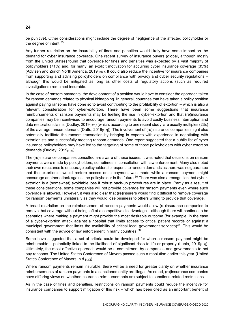be punitive). Other considerations might include the degree of negligence of the affected policyholder or the degree of intent.<sup>35</sup>

Any further restriction on the insurability of fines and penalties would likely have some impact on the demand for cyber insurance coverage. One recent survey of insurance buyers (global, although mostly from the United States) found that coverage for fines and penalties was expected by a vast majority of policyholders (71%) and, for many, an explicit motivation for acquiring cyber insurance coverage (35%) (Advisen and Zurich North America, 2019<sub>[116]</sub>). It could also reduce the incentive for insurance companies from supporting and advising policyholders on compliance with privacy and cyber security regulations – although this would be mitigated as long as other costs of regulatory actions (such as required investigations) remained insurable.

In the case of ransom payments, the development of a position would have to consider the approach taken for ransom demands related to physical kidnapping. In general, countries that have taken a policy position against paying ransoms have done so to avoid contributing to the profitability of extortion – which is also a relevant consideration for cyber-extortion. There have been some suggestions that insurance reimbursements of ransom payments may be fuelling the rise in cyber-extortion and that (re)insurance companies may be incentivised to encourage ransom payments to avoid costly business interruption and data restoration claims (Dudley, 2019 $_{[117]}$ ) (which, according to one recent study, are usually multiples (23x) of the average ransom demand (Datto, 2019 $_{[118]}$ ). The involvement of (re)insurance companies might also potentially facilitate the ransom transaction by bringing in experts with experience in negotiating with extortionists and successfully meeting ransom demands. One report suggested that a public list of cyber insurance policyholders may have led to the targeting of some of those policyholders with cyber extortion demands (Dudley,  $2019_{[117]}$ ).

The (re)insurance companies consulted are aware of these issues. It was noted that decisions on ransom payments were made by policyholders, sometimes in consultation with law enforcement. Many also noted their own reluctance to encourage policyholders to respond to ransom demands as there was no guarantee that the extortionist would restore access once payment was made while a ransom payment might encourage another attack against the policyholder in the future.<sup>36</sup> There was also a recognition that cyberextortion is a (somewhat) avoidable loss if robust back-up procedures are in place. Partly as a result of these considerations, some companies will not provide coverage for ransom payments even where such coverage is allowed. However, it was also clear that (re)insurers would find it difficult to remove coverage for ransom payments unilaterally as they would lose business to others willing to provide that coverage.

A broad restriction on the reimbursement of ransom payments would allow (re)insurance companies to remove that coverage without being left at a competitive disadvantage – although there will continue to be scenarios where making a payment might provide the most desirable outcome (for example, in the case of a cyber-extortion attack against a hospital that limits access to critical patient records or against a municipal government that limits the availability of critical local government services)<sup>37</sup>. This would be consistent with the advice of law enforcement in many countries.<sup>38</sup>

Some have suggested that a set of criteria could be developed for when a ransom payment might be reimbursable – potentially linked to the likelihood of significant risks to life or property (Lubin, 2019<sub>[119]</sub>). Ultimately, the most effective approach would be a commitment by companies and governments to not pay ransoms. The United States Conference of Mayors passed such a resolution earlier this year (United States Conference of Mayors, n.d.[120]).

Where ransom payments remain insurable, there will be a need for greater clarity on whether insurance reimbursements of ransom payments to a sanctioned entity are illegal. As noted, (re)insurance companies have differing views on whether insurance reimbursements are subject to sanctions-related restrictions.

As in the case of fines and penalties, restrictions on ransom payments could reduce the incentive for insurance companies to support mitigation of this risk – which has been cited as an important benefit of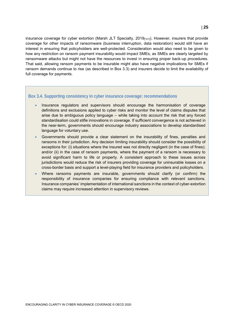insurance coverage for cyber extortion (Marsh JLT Specialty, 2019<sub>[121]</sub>). However, insurers that provide coverage for other impacts of ransomware (business interruption, data restoration) would still have an interest in ensuring that policyholders are well-protected. Consideration would also need to be given to how any restriction on ransom payment insurability would impact SMEs, as SMEs are clearly targeted by ransomware attacks but might not have the resources to invest in ensuring proper back-up procedures. That said, allowing ransom payments to be insurable might also have negative implications for SMEs if ransom demands continue to rise (as described in Box 3.3) and insurers decide to limit the availability of full coverage for payments.

#### <span id="page-25-0"></span>**Box 3.4. Supporting consistency in cyber insurance coverage: recommendations**

- Insurance regulators and supervisors should encourage the harmonisation of coverage definitions and exclusions applied to cyber risks and monitor the level of claims disputes that arise due to ambiguous policy language – while taking into account the risk that any forced standardisation could stifle innovations in coverage. If sufficient convergence is not achieved in the near-term, governments should encourage industry associations to develop standardised language for voluntary use.
- Governments should provide a clear statement on the insurability of fines, penalties and ransoms in their jurisdiction. Any decision limiting insurability should consider the possibility of exceptions for: (i) situations where the insured was not directly negligent (in the case of fines); and/or (ii) in the case of ransom payments, where the payment of a ransom is necessary to avoid significant harm to life or property. A consistent approach to these issues across jurisdictions would reduce the risk of insurers providing coverage for uninsurable losses on a cross-border basis and support a level-playing field for insurance providers and policyholders.
- Where ransoms payments are insurable, governments should clarify (or confirm) the responsibility of insurance companies for ensuring compliance with relevant sanctions. Insurance companies' implementation of international sanctions in the context of cyber-extortion claims may require increased attention in supervisory reviews.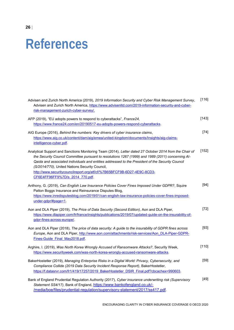## <span id="page-26-0"></span>**References**

| Advisen and Zurich North America (2019), 2019 Information Security and Cyber Risk Management Survey,<br>Advisen and Zurich North America, https://www.advisenltd.com/2019-information-security-and-cyber-<br>risk-management-zurich-cyber-survey/.                                                                                                                                                                                                                              | [116]  |
|---------------------------------------------------------------------------------------------------------------------------------------------------------------------------------------------------------------------------------------------------------------------------------------------------------------------------------------------------------------------------------------------------------------------------------------------------------------------------------|--------|
| AFP (2019), "EU adopts powers to respond to cyberattacks", France24,<br>https://www.france24.com/en/20190517-eu-adopts-powers-respond-cyberattacks.                                                                                                                                                                                                                                                                                                                             | [143]  |
| AIG Europe (2016), Behind the numbers: Key drivers of cyber insurance claims,<br>https://www.aig.co.uk/content/dam/aig/emea/united-kingdom/documents/Insights/aig-claims-<br>intelligence-cyber.pdf.                                                                                                                                                                                                                                                                            | $[74]$ |
| Analytical Support and Sanctions Monitoring Team (2014), Letter dated 27 October 2014 from the Chair of<br>the Security Council Committee pursuant to resolutions 1267 (1999) and 1989 (2011) concerning Al-<br>Qaida and associated individuals and entities addressed to the President of the Security Council<br>(S/2014/770), United Nations Security Council,<br>http://www.securitycouncilreport.org/atf/cf/%7B65BFCF9B-6D27-4E9C-8CD3-<br>CF6E4FF96FF9%7D/s 2014 770.pdf | [152]  |
| Anthony, G. (2019), Can English Law Insurance Policies Cover Fines Imposed Under GDPR?, Squire<br>Patton Boggs Insurance and Reinsurance Disputes Blog,<br>https://www.inredisputesblog.com/2019/01/can-english-law-insurance-policies-cover-fines-imposed-<br>$under-gdpr/\#page=1$ .                                                                                                                                                                                          | $[94]$ |
| Aon and DLA Piper (2019), The Price of Data Security (Second Edition), Aon and DLA Piper,<br>https://www.dlapiper.com/fr/france/insights/publications/2019/07/updated-guide-on-the-insurability-of-<br>gdpr-fines-across-europe/                                                                                                                                                                                                                                                | $[72]$ |
| Aon and DLA Piper (2018), The price of data security: A guide to the insurability of GDPR fines across<br>Europe, Aon and DLA Piper, http://www.aon.com/attachments/risk-services/Aon_DLA-Piper-GDPR-<br>Fines-Guide Final May2018.pdf.                                                                                                                                                                                                                                         | $[93]$ |
| Arghire, I. (2019), Was North Korea Wrongly Accused of Ransomware Attacks?, Security Week,<br>https://www.securityweek.com/was-north-korea-wrongly-accused-ransomware-attacks.                                                                                                                                                                                                                                                                                                  | [110]  |
| BakerHostetler (2019), Managing Enterprise Risks in a Digital World: Privacy, Cybersecurity, and<br>Compliance Collide (2019 Data Security Incident Response Report), BakerHostetler,<br>https://f.datasrvr.com/fr1/419/17257/2019 BakerHostetler DSIR Final.pdf?cbcachex=990603.                                                                                                                                                                                               | $[59]$ |
| Bank of England Prudential Regulation Authority (2017), Cyber insurance underwriting risk (Supervisory<br>Statement SS4/17), Bank of England, https://www.bankofengland.co.uk/-<br>/media/boe/files/prudential-regulation/supervisory-statement/2017/ss417.pdf.                                                                                                                                                                                                                 | $[49]$ |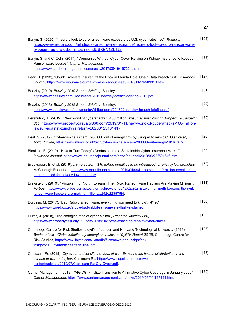| Barlyn, S. (2020), "Insurers look to curb ransomware exposure as U.S. cyber rates rise", Reuters,<br>https://www.reuters.com/article/us-ransomware-insurance/insurers-look-to-curb-ransomware-<br>exposure-as-u-s-cyber-rates-rise-idUSKBN1ZL1J2.                                                                             | $[104]$ |
|-------------------------------------------------------------------------------------------------------------------------------------------------------------------------------------------------------------------------------------------------------------------------------------------------------------------------------|---------|
| Barlyn, S. and C. Cohn (2017), "Companies Without Cyber Cover Relying on Kidnap Insurance to Recoup<br>Ransomware Losses", Carrier Management,<br>https://www.carriermanagement.com/news/2017/05/19/167321.htm.                                                                                                               | $[22]$  |
| Bear, D. (2018), "Court: Travelers Insurer Off the Hook in Florida Hotel Chain Data Breach Suit", Insurance<br>Journal, https://www.insurancejournal.com/news/southeast/2018/11/21/509313.htm.                                                                                                                                | $[127]$ |
| Beazley (2019), Beazley 2019 Breach Briefing, Beazley,<br>https://www.beazley.com/Documents/2019/beazley-breach-briefing-2019.pdf.                                                                                                                                                                                            | $[31]$  |
| Beazley (2018), Beazley 2018 Breach Briefing, Beazley,<br>https://www.beazley.com/documents/Whitepapers/201802-beazley-breach-briefing.pdf.                                                                                                                                                                                   | $[29]$  |
| Bershidsky, L. (2019), "New world of cyberattacks: \$100 million lawsuit against Zurich", Property & Casualty<br>360, https://www.propertycasualty360.com/2019/01/11/new-world-of-cyberattacks-100-million-<br>lawsuit-against-zurich/?slreturn=20200125101417.                                                               | $[35]$  |
| Best, S. (2019), "Cybercriminals scam £200,000 out of energy firm by using AI to mimic CEO's voice",<br>Mirror Online, https://www.mirror.co.uk/tech/cybercriminals-scam-200000-out-energy-19167075.                                                                                                                          | $[26]$  |
| Blosfield, E. (2019), "How to Turn Today's Confusion Into a Sustainable Cyber Insurance Market",<br>Insurance Journal, https://www.insurancejournal.com/news/national/2019/03/26/521646.htm.                                                                                                                                  | $[55]$  |
| Breakspear, B. et al. (2019), It's no secret - \$10 million penalties to be introduced for privacy law breaches,<br>McCullough Robertson, http://www.mccullough.com.au/2019/04/09/its-no-secret-10-million-penalties-to-<br>be-introduced-for-privacy-law-breaches/.                                                          | [89]    |
| Brewster, T. (2019), "Mistaken For North Koreans, The 'Ryuk' Ransomware Hackers Are Making Millions",<br>Forbes, https://www.forbes.com/sites/thomasbrewster/2019/02/20/mistaken-for-north-koreans-the-ryuk-<br>ransomware-hackers-are-making-millions/#242e223875f4.                                                         | $[111]$ |
| Burgess, M. (2017), "Bad Rabbit ransomware: everything you need to know", Wired,<br>https://www.wired.co.uk/article/bad-rabbit-ransomware-flash-explained.                                                                                                                                                                    | $[150]$ |
| Burns, J. (2018), "The changing face of cyber claims", Property Casualty 360,<br>https://www.propertycasualty360.com/2018/10/15/the-changing-face-of-cyber-claims/.                                                                                                                                                           | $[100]$ |
| Cambridge Centre for Risk Studies, Lloyd's of London and Nanyang Technological University (2019),<br>Bashe attack - Global infection by contagious malware (CyRiM Report 2019), Cambridge Centre for<br>Risk Studies, https://www.lloyds.com/~/media/files/news-and-insight/risk-<br>insight/2018/cyrimbasheattack final.pdf. | $[105]$ |
| Capiscum Re (2019), Cry cyber and let slip the dogs of war: Exploring the issues of attribution in the<br>context of war and cyber, Capiscum Re, https://www.capsicumre.com/wp-<br>content/uploads/2019/07/Capsicum-Re-Cry-Cyber.pdf.                                                                                         | $[43]$  |
| Carrier Management (2019), "AIG Will Finalize Transition to Affirmative Cyber Coverage in January 2020",<br>Carrier Management, https://www.carriermanagement.com/news/2019/09/06/197494.htm.                                                                                                                                 | $[135]$ |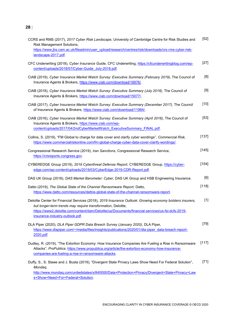| CCRS and RMS (2017), 2017 Cyber Risk Landscape, University of Cambridge Centre for Risk Studies and<br>Risk Management Solutions,<br>https://www.jbs.cam.ac.uk/fileadmin/user_upload/research/centres/risk/downloads/crs-rms-cyber-risk-<br>landscape-2017.pdf. | $[52]$ |
|-----------------------------------------------------------------------------------------------------------------------------------------------------------------------------------------------------------------------------------------------------------------|--------|
| CFC Underwriting (2018), Cyber Insurance Guide, CFC Underwriting, https://cfcunderwritingblog.com/wp-<br>content/uploads/2018/07/Cyber-Guide July-2018.pdf.                                                                                                     | $[27]$ |
| CIAB (2019), Cyber Insurance Market Watch Survey: Executive Summary (February 2019), The Council of<br>Insurance Agents & Brokers, https://www.ciab.com/download/16876/.                                                                                        | [8]    |
| CIAB (2018), Cyber Insurance Market Watch Survey: Executive Summary (July 2018), The Council of<br>Insurance Agents & Brokers, https://www.ciab.com/download/15077/.                                                                                            | $[9]$  |
| CIAB (2017), Cyber Insurance Market Watch Survey: Executive Summary (December 2017), The Council<br>of Insurance Agents & Brokers, https://www.ciab.com/download/11984/.                                                                                        | $[10]$ |
| CIAB (2016), Cyber Insurance Market Watch Survey: Executive Summary (April 2016), The Council of<br>Insurance Agents & Brokers, https://www.ciab.com/wp-<br>content/uploads/2017/04/2ndCyberMarketWatch ExecutiveSummary FINAL.pdf.                             | $[53]$ |
| Collins, S. (2019), "FM Global to charge for data cover and clarify cyber wordings", Commercial Risk,<br>https://www.commercialriskonline.com/fm-global-charge-cyber-data-cover-clarify-wordings/.                                                              | [137]  |
| Congressional Research Service (2019), Iran Sanctions, Congressional Research Service,<br>https://crsreports.congress.gov.                                                                                                                                      | [145]  |
| CYBEREDGE Group (2019), 2019 Cyberthreat Defense Report, CYBEREDGE Group, https://cyber-<br>edge.com/wp-content/uploads/2019/03/CyberEdge-2019-CDR-Report.pdf.                                                                                                  | [154]  |
| DAS UK Group (2018), DAS Market Barometer: Cyber, DAS UK Group and HSB Engineering Insurance.                                                                                                                                                                   | [6]    |
| Datto (2019), The Global State of the Channel Ransomware Report, Datto,<br>https://www.datto.com/resources/dattos-global-state-of-the-channel-ransomware-report.                                                                                                | [118]  |
| Deloitte Center for Financial Services (2018), 2019 Insurance Outlook: Growing economy bolsters insurers,<br>but longer-term trends may require transformation, Deloitte,                                                                                       | $[1]$  |
| https://www2.deloitte.com/content/dam/Deloitte/us/Documents/financial-services/us-fsi-dcfs-2019-<br>insurance-industry-outlook.pdf.                                                                                                                             |        |
| DLA Piper (2020), DLA Piper GDPR Data Breach Survey (January 2020), DLA Piper,<br>https://www.dlapiper.com/~/media/files/insights/publications/2020/01/dla-piper data-breach-report-<br>2020.pdf.                                                               | $[79]$ |
| Dudley, R. (2019), "The Extortion Economy: How Insurance Companies Are Fueling a Rise in Ransomware<br>Attacks", ProPublica, https://www.propublica.org/article/the-extortion-economy-how-insurance-<br>companies-are-fueling-a-rise-in-ransomware-attacks.     | [117]  |
| Duffy, S., S. Slawe and J. Busta (2019), "Divergent State Privacy Laws Show Need For Federal Solution",<br>Mondaq,<br>http://www.mondaq.com/unitedstates/x/840000/Data+Protection+Privacy/Divergent+State+Privacy+Law<br>s+Show+Need+For+Federal+Solution.      | $[71]$ |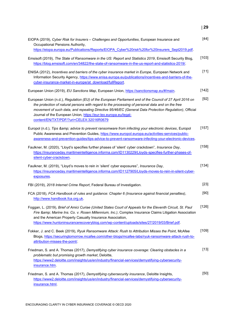| EIOPA (2019), Cyber Risk for Insurers - Challenges and Opportunities, European Insurance and<br>Occupational Pensions Authority,<br>https://eiopa.europa.eu/Publications/Reports/EIOPA Cyber%20risk%20for%20insurers Sept2019.pdf.                                                                                                                                                                                                    | $[44]$  |
|---------------------------------------------------------------------------------------------------------------------------------------------------------------------------------------------------------------------------------------------------------------------------------------------------------------------------------------------------------------------------------------------------------------------------------------|---------|
| Emsisoft (2019), The State of Ransomware in the US: Report and Statistics 2019, Emsisoft Security Blog,<br>https://blog.emsisoft.com/en/34822/the-state-of-ransomware-in-the-us-report-and-statistics-2019/.                                                                                                                                                                                                                          | [103]   |
| ENISA (2012), Incentives and barriers of the cyber insurance market in Europe, European Network and<br>Information Security Agency, https://www.enisa.europa.eu/publications/incentives-and-barriers-of-the-<br>cyber-insurance-market-in-europe/at download/fullReport.                                                                                                                                                              | $[11]$  |
| European Union (2019), EU Sanctions Map, European Union, https://sanctionsmap.eu/#/main.                                                                                                                                                                                                                                                                                                                                              | [142]   |
| European Union (n.d.), Regulation (EU) of the European Parliament and of the Council of 27 April 2016 on<br>the protection of natural persons with regard to the processing of personal data and on the free<br>movement of such data, and repealing Directive 95/46/EC (General Data Protection Regulation), Official<br>Journal of the European Union, https://eur-lex.europa.eu/legal-<br>content/EN/TXT/PDF/?uri=CELEX:32016R0679 | $[92]$  |
| Europol (n.d.), Tips & advice to prevent ransomware from infecting your electronic devices, Europol<br>Public Awareness and Prevention Guides, https://www.europol.europa.eu/activities-services/public-<br>awareness-and-prevention-quides/tips-advice-to-prevent-ransomware-infecting-your-electronic-devices.                                                                                                                      | [157]   |
| Faulkner, M. (2020), "Lloyd's specifies further phases of 'silent' cyber crackdown", Insurance Day,<br>https://insuranceday.maritimeintelligence.informa.com/ID1130229/Lloyds-specifies-further-phases-of-<br>silent-cyber-crackdown.                                                                                                                                                                                                 | [158]   |
| Faulkner, M. (2019), "Lloyd's moves to rein in 'silent' cyber exposures", Insurance Day,<br>https://insuranceday.maritimeintelligence.informa.com/ID1127905/Lloyds-moves-to-rein-in-silent-cyber-<br>exposures.                                                                                                                                                                                                                       | $[134]$ |
| FBI (2019), 2018 Internet Crime Report, Federal Bureau of Investigation.                                                                                                                                                                                                                                                                                                                                                              | $[23]$  |
| FCA (2018), FCA Handbook of rules and guidance: Chapter 6 (Insurance against financial penalties),<br>http://www.handbook.fca.org.uk.                                                                                                                                                                                                                                                                                                 | [90]    |
| Foggan, L. (2019), Brief of Amici Curiae (United States Court of Appeals for the Eleventh Circuit, St. Paul<br>Fire & Marine Ins. Co. v. Rosen Millennium, Inc.), Complex Insurance Claims Litigation Association<br>and the American Property Casualty Insurance Association,<br>https://www.huntoninsurancerecoveryblog.com/wp-content/uploads/sites/27/2019/03/Brief.pdf.                                                          | $[126]$ |
| Fokker, J. and C. Beek (2019), Ryuk Ransomware Attack: Rush to Attribution Misses the Point, McAfee<br>Blogs, https://securingtomorrow.mcafee.com/other-blogs/mcafee-labs/ryuk-ransomware-attack-rush-to-<br>attribution-misses-the-point/.                                                                                                                                                                                           | [109]   |
| Friedman, S. and A. Thomas (2017), Demystifying cyber insurance coverage: Clearing obstacles in a<br>problematic but promising growth market, Deloitte,<br>https://www2.deloitte.com/insights/us/en/industry/financial-services/demystifying-cybersecurity-<br>insurance.htm.                                                                                                                                                         | $[13]$  |
| Friedman, S. and A. Thomas (2017), Demystifying cybersecurity insurance, Deloitte Insights,<br>https://www2.deloitte.com/insights/us/en/industry/financial-services/demystifying-cybersecurity-<br>insurance.html                                                                                                                                                                                                                     | [50]    |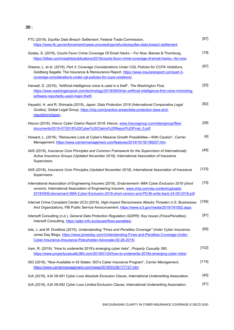| FTC (2019), Equifax Data Breach Settlement, Federal Trade Commission,<br>https://www.ftc.gov/enforcement/cases-proceedings/refunds/equifax-data-breach-settlement.                                                                                                                                           | $[67]$ |
|--------------------------------------------------------------------------------------------------------------------------------------------------------------------------------------------------------------------------------------------------------------------------------------------------------------|--------|
| Godes, S. (2019), Courts Favor Crime Coverage Of Email Hacks - For Now, Barnes & Thornburg,<br>https://btlaw.com/insights/publications/2019/courts-favor-crime-coverage-of-email-hacks---for-now.                                                                                                            | $[19]$ |
| Greene, L. et al. (2019), Part 3: Coverage Considerations Under CGL Policies for CCPA Violations,<br>Goldberg Segalla: The Insurance & Reinsurance Report, https://www.insurerereport.com/part-3-<br>coverage-considerations-under-cgl-policies-for-ccpa-violations/.                                        | $[97]$ |
| Harwell, D. (2019), "Artificial-intelligence voice is used in a theft", The Washington Post,<br>https://www.washingtonpost.com/technology/2019/09/04/an-artificial-intelligence-first-voice-mimicking-<br>software-reportedly-used-major-theft/.                                                             | $[25]$ |
| Hayashi, H. and R. Shimada (2019), Japan: Data Protection 2018 (International Comparative Legal<br>Guides), Global Legal Group, https://iclg.com/practice-areas/data-protection-laws-and-<br>regulations/japan                                                                                               | $[62]$ |
| Hiscox (2018), Hiscox Cyber Claims Report 2018, Hiscox, www.hiscoxgroup.com/sites/group/files/<br>documents/2018-07/2018%20Cyber%20Claims%20Report%20Final 0.pdf.                                                                                                                                            | $[28]$ |
| Howard, L. (2019), "Reinsurers Look at Cyber's Massive Growth Possibilities—With Caution", Carrier<br>Management, https://www.carriermanagement.com/features/2019/10/18/199207.htm.                                                                                                                          | $[4]$  |
| IAIS (2019), Insurance Core Principles and Common Framework for the Supervision of Internationally<br>Active Insurance Groups (Updated November 2019), International Association of Insurance<br>Supervisors.                                                                                                | $[48]$ |
| IAIS (2018), Insurance Core Principles (Updated November 2018), International Association of Insurance<br>Supervisors.                                                                                                                                                                                       | [123]  |
| International Association of Engineering Insurers (2018), Endorsement- IMIA Cyber Exclusion 2018 (short<br>version), International Association of Engineering Insurers, www.imia.com/wp-content/uploads/<br>2018/09/Endorsement-IMIA-Cyber-Exclusion-2018-short-version-and-PD-BI-write-back-24-09-2018.pdf. | $[15]$ |
| Internet Crime Complaint Center (IC3) (2019), High-Impact Ransomware Attacks Threaten U.S. Businesses<br>And Organizations, FBI Public Service Announcement, https://www.ic3.gov/media/2019/191002.aspx.                                                                                                     | [156]  |
| Intersoft Consulting (n.d.), General Data Protection Regulation (GDPR): Key Issues (Fines/Penalties),<br>Intersoft Consulting, https://gdpr-info.eu/issues/fines-penalties/.                                                                                                                                 | $[91]$ |
| lole, J. and M. Divelbiss (2015), Understanding "Fines and Penalties Coverage" Under Cyber Insurance,<br>Jones Day Blogs, https://www.jonesday.com/Understanding-Fines-and-Penalties-Coverage-Under-<br>Cyber-Insurance-ilnsurance-Policyholder-Advocatei-02-26-2015/.                                       | $[95]$ |
| Iram, R. (2019), "How to underwrite 2019's emerging cyber risks", Property Casualty 360,<br>https://www.propertycasualty360.com/2019/01/24/how-to-underwrite-2019s-emerging-cyber-risks/.                                                                                                                    | [102]  |
| ISO (2018), "Now Available in 42 States: ISO's Cyber Insurance Program", Carrier Management,<br>https://www.carriermanagement.com/news/2018/03/26/177127.htm.                                                                                                                                                | [114]  |
| IUA (2019), IUA 09-081 Cyber Loss Absolute Exclusion Clause, International Underwriting Association.                                                                                                                                                                                                         | [40]   |
| IUA (2019), IUA 09-082 Cyber Loss Limited Exclusion Clause, International Underwriting Association.                                                                                                                                                                                                          | $[41]$ |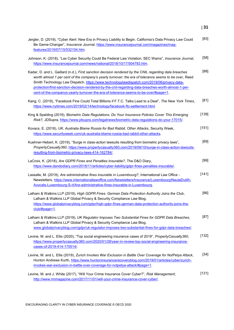| Jergler, D. (2019), "Cyber Alert: New Era in Privacy Liability to Begin. California's Data Privacy Law Could<br>Be Game-Changer", Insurance Journal, https://www.insurancejournal.com/magazines/mag-<br>features/2019/07/15/532104.htm.                                                                                                                                                                                                                                                                     | [83]    |
|-------------------------------------------------------------------------------------------------------------------------------------------------------------------------------------------------------------------------------------------------------------------------------------------------------------------------------------------------------------------------------------------------------------------------------------------------------------------------------------------------------------|---------|
| Johnson, K. (2018), "Lax Cyber Security Could Be Federal Law Violation, SEC Warns", Insurance Journal,<br>https://www.insurancejournal.com/news/national/2018/10/17/504783.htm.                                                                                                                                                                                                                                                                                                                             | [58]    |
| Kadar, D. and L. Gaillard (n.d.), First sanction decision rendered by the CNIL regarding data breaches<br>worth almost 1 per cent of the company's yearly turnover: the era of tolerance seems to be over, Reed<br>Smith Technology Law Dispatch, https://www.technologylawdispatch.com/2019/06/privacy-data-<br>protection/first-sanction-decision-rendered-by-the-cnil-regarding-data-breaches-worth-almost-1-per-<br>cent-of-the-companys-yearly-turnover-the-era-of-tolerance-seems-to-be-over/#page=1. | [88]    |
| Kang, C. (2019), "Facebook Fine Could Total Billions if F.T.C. Talks Lead to a Deal", The New York Times,<br>https://www.nytimes.com/2019/02/14/technology/facebook-ftc-settlement.html.                                                                                                                                                                                                                                                                                                                    | [81]    |
| King & Spalding (2019), Biometric Data Regulations: Do Your Insurance Policies Cover This Emerging<br>Risk?, JDSupra, https://www.jdsupra.com/legalnews/biometric-data-regulations-do-your-17015/.                                                                                                                                                                                                                                                                                                          | $[139]$ |
| Kovacs, E. (2018), UK, Australia Blame Russia for Bad Rabbit, Other Attacks, Security Week,<br>https://www.securityweek.com/uk-australia-blame-russia-bad-rabbit-other-attacks.                                                                                                                                                                                                                                                                                                                             | [151]   |
| Kuehner-Hebert, K. (2019), "Surge in class-action lawsuits resulting from biometric privacy laws",<br>PropertyCasualty360, https://www.propertycasualty360.com/2019/09/10/surge-in-class-action-lawsuits-<br>resulting-from-biometric-privacy-laws-414-162784/.                                                                                                                                                                                                                                             | [69]    |
| LaCroix, K. (2018), Are GDPR Fines and Penalties Insurable?, The D&O Diary,<br>https://www.dandodiary.com/2018/11/articles/cyber-liability/gdpr-fines-penalties-insurable/.                                                                                                                                                                                                                                                                                                                                 | [99]    |
| Lassalle, M. (2019), Are administrative fines insurable in Luxembourg?, International Law Office -<br>Newsletters, https://www.internationallawoffice.com/Newsletters/Insurance/Luxembourg/NautaDutilh-<br>Avocats-Luxembourg-S-rl/Are-administrative-fines-insurable-in-Luxembourg.                                                                                                                                                                                                                        | [141]   |
| Latham & Watkins LLP (2019), High GDPR Fines: German Data Protection Authority Joins the Club,<br>Latham & Watkins LLP Global Privacy & Security Compliance Law Blog,<br>https://www.globalprivacyblog.com/gdpr/high-gdpr-fines-german-data-protection-authority-joins-the-<br>$club/\#page=1$ .                                                                                                                                                                                                            | [86]    |
| Latham & Watkins LLP (2019), UK Regulator Imposes Two Substantial Fines for GDPR Data Breaches,<br>Latham & Watkins LLP Global Privacy & Security Compliance Law Blog,<br>www.globalprivacyblog.com/gdpr/uk-regulator-imposes-two-substantial-fines-for-gdpr-data-breaches/.                                                                                                                                                                                                                                | [87]    |
| Levine, M. and L. Ellis (2020), "Top social engineering insurance cases of 2019", PropertyCasualty360,<br>https://www.propertycasualty360.com/2020/01/28/year-in-review-top-social-engineering-insurance-<br>cases-of-2019-414-170514/                                                                                                                                                                                                                                                                      | [132]   |
| Levine, M. and L. Ellis (2019), Zurich Invokes War Exclusion in Battle Over Coverage for NotPetya Attack,<br>Hunton Andrews Kurth, https://www.huntoninsurancerecoveryblog.com/2019/01/articles/cyber/zurich-<br>invokes-war-exclusion-in-battle-over-coverage-for-notpetya-attack/#page=1.                                                                                                                                                                                                                 | $[34]$  |
| Levine, M. and J. White (2017), "Will Your Crime Insurance Cover Cyber?", Risk Management,<br>http://www.rmmagazine.com/2017/11/01/will-your-crime-insurance-cover-cyber/.                                                                                                                                                                                                                                                                                                                                  | [131]   |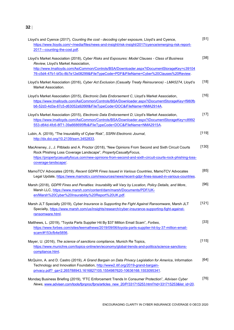| Lloyd's and Cyence (2017), Counting the cost - decoding cyber exposure, Lloyd's and Cyence,<br>https://www.lloyds.com/~/media/files/news-and-insight/risk-insight/2017/cyence/emerging-risk-report-<br>2017---counting-the-cost.pdf.                                                                                         | $[51]$ |
|------------------------------------------------------------------------------------------------------------------------------------------------------------------------------------------------------------------------------------------------------------------------------------------------------------------------------|--------|
| Lloyd's Market Association (2018), Cyber Risks and Exposures: Model Clauses - Class of Business<br>Review, Lloyd's Market Association,<br>http://www.lmalloyds.com/AsiCommon/Controls/BSA/Downloader.aspx?iDocumentStorageKey=c39104<br>76-c5d4-47b1-bf3c-8b7e12e08299&iFileTypeCode=PDF&iFileName=Cyber%20Clauses%20Review. | $[38]$ |
| Lloyd's Market Association (2016), Cyber Act Exclusion (Casualty Treaty Reinsurance) - LMA5274, Lloyd's<br>Market Association.                                                                                                                                                                                               | $[18]$ |
| Lloyd's Market Association (2015), Electronic Data Endorsement C, Lloyd's Market Association,<br>https://www.lmalloyds.com/AsiCommon/Controls/BSA/Downloader.aspx?iDocumentStorageKey=f980fb<br>b6-52d3-4d3a-87c5-d63052a9266f&iFileTypeCode=DOC&iFileName=NMA2914A.                                                         | $[16]$ |
| Lloyd's Market Association (2015), Electronic Data Endorsement D, Lloyd's Market Association,<br>https://www.lmalloyds.com/AsiCommon/Controls/BSA/Downloader.aspx?iDocumentStorageKey=c8992<br>553-d64d-4fc6-8f71-39a668695ffb&iFileTypeCode=DOC&iFileName=NMA2915A.                                                         | $[17]$ |
| Lubin, A. (2019), "The Insurability of Cyber Risk", SSRN Electronic Journal,<br>http://dx.doi.org/10.2139/ssrn.3452833.                                                                                                                                                                                                      | [119]  |
| MacAneney, J., J. Pitblado and A. Proctor (2018), "New Opinions From Second and Sixth Circuit Courts<br>Rock Phishing Loss Coverage Landscape", PropertyCasualtyFocus,<br>https://propertycasualtyfocus.com/new-opinions-from-second-and-sixth-circuit-courts-rock-phishing-loss-<br>coverage-landscape/.                    | [130]  |
| MamoTCV Advocates (2019), Recent GDPR Fines Issued in Various Countries, MamoTCV Advocates<br>Legal Update, https://www.mamotcv.com/resources/news/recent-gdpr-fines-issued-in-various-countries.                                                                                                                            | [85]   |
| Marsh (2018), GDPR Fines and Penalties: Insurability will Vary by Location, Policy Details, and More,<br>Marsh LLC, https://www.marsh.com/content/dam/marsh/Documents/PDF/UK-<br>en/Marsh%20Cyber%20Insurability%20Report%20UK.pdf.                                                                                          | [96]   |
| Marsh JLT Specialty (2019), Cyber Insurance is Supporting the Fight Against Ransomware, Marsh JLT<br>Specialty, https://www.marsh.com/us/insights/research/cyber-insurance-supporting-fight-against-<br><u>ransomware.html</u> .                                                                                             | [121]  |
| Matthews, L. (2019), "Toyota Parts Supplier Hit By \$37 Million Email Scam", Forbes,<br>https://www.forbes.com/sites/leemathews/2019/09/06/toyota-parts-supplier-hit-by-37-million-email-<br>scam/#153cfb4e5856                                                                                                              | $[33]$ |
| Mayer, U. (2016), The science of sanctions compliance, Munich Re Topics,<br>https://www.munichre.com/topics-online/en/economy/global-trends-and-politics/science-sanctions-<br>compliance.html.                                                                                                                              | [115]  |
| McQuinn, A. and D. Castro (2019), A Grand Bargain on Data Privacy Legislation for America, Information<br>Technology and Innovation Foundation, http://www2.itif.org/2019-grand-bargain-<br>privacy.pdf? ga=2.265788943.1616827105.1554987620-10636168.1553095341.                                                           | [64]   |
| Mondaq Business Briefing (2019), "FTC Enforcement Trends In Consumer Protection", Advisen Cyber<br>News, www.advisen.com/tools/fpnproc/fpns/articles_new_20/P/331715253.html?rid=331715253&list_id=20.                                                                                                                       | $[76]$ |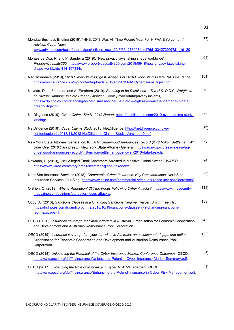| Mondaq Business Briefing (2019), "HHS: 2018 Was All-Time Record Year For HIPAA Enforcement",<br>Advisen Cyber News,                                                                                                                                                                                                  | $[77]$ |
|----------------------------------------------------------------------------------------------------------------------------------------------------------------------------------------------------------------------------------------------------------------------------------------------------------------------|--------|
| www.advisen.com/tools/fpnproc/fpns/articles_new_20/P/334273997.html?rid=334273997&list_id=20.                                                                                                                                                                                                                        |        |
| Montes de Oca, R. and P. Bandeira (2019), "New privacy laws taking shape worldwide",<br>PropertyCasualty360, https://www.propertycasualty360.com/2019/06/18/new-privacy-laws-taking-<br>shape-worldwide-414-157334/.                                                                                                 | [63]   |
| NAS Insurance (2019), 2019 Cyber Claims Digest: Analysis of 2018 Cyber Claims Data, NAS Insurance,<br>https://nasinsurance.com/wp-content/uploads/2019/03/2019NASCyberClaimsDigest.pdf.                                                                                                                              | [101]  |
| Navetta, D., J. Friedman and A. Ebrahem (2019), Standing to be Dismissed - The U.S. D.D.C. Weighs in<br>on "Actual Damage" in Data Breach Litigation, Cooley cyber/data/privacy insights,<br>https://cdp.cooley.com/standing-to-be-dismissed-the-u-s-d-d-c-weighs-in-on-actual-damage-in-data-<br>breach-litigation/ | $[70]$ |
| NetDiligence (2019), Cyber Claims Study: 2019 Report, https://netdiligence.com/2019-cyber-claims-study-<br>landing/                                                                                                                                                                                                  | $[75]$ |
| NetDiligence (2018), Cyber Claims Study 2018, NetDiligence, https://netdiligence.com/wp-<br>content/uploads/2018/11/2018-NetDiligence-Claims-Study Version-1.0.pdf.                                                                                                                                                  | $[30]$ |
| New York State Attorney General (2018), A.G. Underwood Announces Record \$148 Million Settlement With<br>Uber Over 2016 Data Breach, New York State Attorney General, https://ag.ny.gov/press-release/ag-<br>underwood-announces-record-148-million-settlement-uber-over-2016-data-breach.                           | $[78]$ |
| Newman, L. (2019), "281 Alleged Email Scammers Arrested in Massive Global Sweep", WIRED,<br>https://www.wired.com/story/email-scammer-global-takedown/                                                                                                                                                               | $[24]$ |
| NorthStar Insurance Services (2018), Commercial Crime Insurance: Key Considerations, NorthStar<br>Insurance Services: Our Blog, https://www.nsins.com/commercial-crime-insurance-key-considerations/.                                                                                                                | $[20]$ |
| O'Brien, C. (2018), Why is 'Attribution' Still the Focus Following Cyber Attacks?, https://www.infosecurity-<br>magazine.com/opinions/attribution-focus-attacks/.                                                                                                                                                    | [112]  |
| Oddy, A. (2018), Sanctions Clauses in a Changing Sanctions Regime, Herbert Smith Freehills,<br>https://hsfnotes.com/fsrandcorpcrime/2018/10/19/sanctions-clauses-in-a-changing-sanctions-<br>regime/#page=1.                                                                                                         | [153]  |
| OECD (2020), Insurance coverage for cyber-terrorism in Australia, Organisation for Economic Cooperation<br>and Development and Australian Reinsurance Pool Corporation.                                                                                                                                              | [45]   |
| OECD (2019), Insurance coverage for cyber-terrorism in Australia: an assessment of gaps and options,<br>Organisation for Economic Cooperation and Development and Australian Reinsurance Pool<br>Corporation.                                                                                                        | [122]  |
| OECD (2018), Unleashing the Potential of the Cyber Insurance Market: Conference Outcomes, OECD,<br>http://www.oecd.org/daf/fin/insurance/Unleashing-Potential-Cyber-Insurance-Market-Summary.pdf.                                                                                                                    | $[5]$  |
| OECD (2017), Enhancing the Role of Insurance in Cyber Risk Management, OECD,<br>http://www.oecd.org/daf/fin/insurance/Enhancing-the-Role-of-Insurance-in-Cyber-Risk-Management.pdf.                                                                                                                                  | $[3]$  |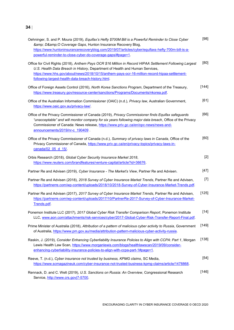| Oehninger, S. and P. Moura (2019), Equifax's Hefty \$700M Bill is a Powerful Reminder to Close Cyber<br>& D& O Coverage Gaps, Hunton Insurance Recovery Blog,<br>https://www.huntoninsurancerecoveryblog.com/2019/07/articles/cyber/equifaxs-hefty-700m-bill-is-a-<br>powerful-reminder-to-close-cyber-do-coverage-gaps/#page=1.                 | [98]    |
|--------------------------------------------------------------------------------------------------------------------------------------------------------------------------------------------------------------------------------------------------------------------------------------------------------------------------------------------------|---------|
| Office for Civil Rights (2018), Anthem Pays OCR \$16 Million in Record HIPAA Settlement Following Largest<br>U.S. Health Data Breach in History, Department of Health and Human Services,<br>https://www.hhs.gov/about/news/2018/10/15/anthem-pays-ocr-16-million-record-hipaa-settlement-<br>following-largest-health-data-breach-history.html. | [80]    |
| Office of Foreign Assets Control (2016), North Korea Sanctions Program, Department of the Treasury,<br>https://www.treasury.gov/resource-center/sanctions/Programs/Documents/nkorea.pdf.                                                                                                                                                         | $[144]$ |
| Office of the Australian Information Commissioner (OAIC) (n.d.), Privacy law, Australian Government,<br>https://www.oaic.gov.au/privacy-law/.                                                                                                                                                                                                    | $[61]$  |
| Office of the Privacy Commissioner of Canada (2019), Privacy Commissioner finds Equifax safeguards<br>"unacceptable" and will monitor company for six years following major data breach, Office of the Privacy<br>Commissioner of Canada: News release, https://www.priv.gc.ca/en/opc-news/news-and-<br>announcements/2019/nr-c 190409.          | [66]    |
| Office of the Privacy Commissioner of Canada (n.d.), Summary of privacy laws in Canada, Office of the<br>Privacy Commissioner of Canada, https://www.priv.gc.ca/en/privacy-topics/privacy-laws-in-<br>canada/02 05 d 15/                                                                                                                         | [60]    |
| Orbis Research (2018), Global Cyber Security Insurance Market 2018,<br>https://www.reuters.com/brandfeatures/venture-capital/article?id=36676.                                                                                                                                                                                                   | $[2]$   |
| Partner Re and Advisen (2019), Cyber Insurance - The Market's View, Partner Re and Advisen.                                                                                                                                                                                                                                                      | $[47]$  |
| Partner Re and Advisen (2018), 2018 Survey of Cyber Insurance Market Trends, Partner Re and Advisen,<br>https://partnerre.com/wp-content/uploads/2018/10/2018-Survey-of-Cyber-Insurance-Market-Trends.pdf.                                                                                                                                       | $[7]$   |
| Partner Re and Advisen (2017), 2017 Survey of Cyber Insurance Market Trends, Partner Re and Advisen,<br>https://partnerre.com/wp-content/uploads/2017/10/PartnerRe-2017-Survey-of-Cyber-Insurance-Market-<br>Trends.pdf.                                                                                                                         | [125]   |
| Ponemon Institute LLC (2017), 2017 Global Cyber Risk Transfer Comparison Report, Ponemon Institute<br>LLC, www.aon.com/attachments/risk-services/cyber/2017-Global-Cyber-Risk-Transfer-Report-Final.pdf.                                                                                                                                         | $[14]$  |
| Prime Minister of Australia (2018), Attribution of a pattern of malicious cyber activity to Russia, Government<br>of Australia, https://www.pm.gov.au/media/attribution-pattern-malicious-cyber-activity-russia.                                                                                                                                 | [149]   |
| Raskin, J. (2019), Consider Enhancing Cyberliability Insurance Policies to Align with CCPA: Part 1, Morgan<br>Lewis Health Law Scan, https://www.morganlewis.com/blogs/healthlawscan/2019/09/consider-<br>enhancing-cyberliability-insurance-policies-to-align-with-ccpa-part-1#page=1.                                                          | [138]   |
| Reeve, T. (n.d.), Cyber insurance not trusted by business, KPMG claims, SC Media,<br>https://www.scmagazineuk.com/cyber-insurance-not-trusted-business-kpmg-claims/article/1478868.                                                                                                                                                              | $[54]$  |
| Rennack, D. and C. Welt (2019), U.S. Sanctions on Russia: An Overview, Congressional Research<br>Service, http://www.crs.gov 7-5700.                                                                                                                                                                                                             | $[146]$ |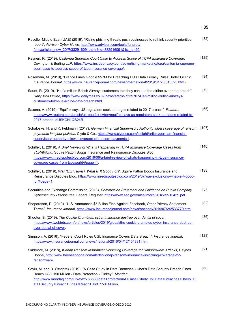| Reseller Middle East (UAE) (2019), "Rising phishing threats push businesses to rethink security priorities:<br>report", Advisen Cyber News, http://www.advisen.com/tools/fpnproc/<br>fpns/articles_new_20/P/332916091.html?rid=332916091&list_id=20.                                                                  | $[32]$ |
|-----------------------------------------------------------------------------------------------------------------------------------------------------------------------------------------------------------------------------------------------------------------------------------------------------------------------|--------|
| Reyneri, R. (2019), California Supreme Court Case to Address Scope of TCPA Insurance Coverage,<br>Covington & Burling LLP, https://www.insideprivacy.com/advertising-marketing/tcpa/california-supreme-<br>court-case-to-address-scope-of-tcpa-insurance-coverage/.                                                   | [129]  |
| Rosemain, M. (2019), "France Fines Google \$57M for Breaching EU's Data Privacy Rules Under GDPR",<br>Insurance Journal, https://www.insurancejournal.com/news/international/2019/01/23/515593.htm).                                                                                                                  | [84]   |
| Saunt, R. (2019), "Half a million British Airways customers told they can sue the airline over data breach",<br>Daily Mail Online, https://www.dailymail.co.uk/news/article-7539707/Half-million-British-Airways-<br>customers-told-sue-airline-data-breach.html.                                                     | $[73]$ |
| Saxena, A. (2019), "Equifax says US regulators seek damages related to 2017 breach", Reuters,<br>https://www.reuters.com/article/uk-equifax-cyber/equifax-says-us-regulators-seek-damages-related-to-<br>2017-breach-idUSKCN1QB24R.                                                                                   | [65]   |
| Schaloske, H. and K. Feldmann (2017), German Financial Supervisory Authority allows coverage of ransom<br>payments in cyber policies, Clyde & Co., https://www.clydeco.com/insight/article/german-financial-<br>supervisory-authority-allows-coverage-of-ransom-payments-i.                                           | [107]  |
| Schiffer, L. (2019), A Brief Review of What's Happening in TCPA Insurance Coverage Cases from<br>TCPAWorld, Squire Patton Boggs Insurance and Reinsurance Disputes Blog,<br>https://www.inredisputesblog.com/2019/06/a-brief-review-of-whats-happening-in-tcpa-insurance-<br>coverage-cases-from-tcpaworld/#page=1.   | [140]  |
| Schiffer, L. (2019), War (Exclusions), What Is It Good For?, Squire Patton Boggs Insurance and<br>Reinsurance Disputes Blog, https://www.inredisputesblog.com/2019/07/war-exclusions-what-is-it-good-<br>$for \#page=1$ .                                                                                             | [133]  |
| Securities and Exchange Commission (2018), Commission Statement and Guidance on Public Company<br>Cybersecurity Disclosures, Federal Register, https://www.sec.gov/rules/interp/2018/33-10459.pdf.                                                                                                                    | $[57]$ |
| Shepardson, D. (2019), "U.S. Announces \$5 Billion Fine Against Facebook, Other Privacy Settlement<br>Terms", <i>Insurance Journal</i> , <u>https://www.insurancejournal.com/news/national/2019/07/24/533779.htm</u> .                                                                                                | [82]   |
| Shooter, S. (2019), The Cookie Crumbles: cyber insurance dust-up over denial of cover,<br>https://www.twobirds.com/en/news/articles/2019/global/the-cookie-crumbles-cyber-insurance-dust-up-<br>over-denial-of-cover.                                                                                                 | $[36]$ |
| Simpson, A. (2016), "Federal Court Rules CGL Insurance Covers Data Breach", Insurance Journal,<br>https://www.insurancejournal.com/news/national/2016/04/12/404881.htm.                                                                                                                                               | [128]  |
| Skidmore, M. (2018), Kidnap Ransom Insurance: Unlocking Coverage for Ransomware Attacks, Haynes<br>Boone, http://www.haynesboone.com/alerts/kidnap-ransom-insurance-unlocking-coverage-for-<br>ransomware.                                                                                                            | $[21]$ |
| Soylu, M. and B. Oztoprak (2019), "A Case Study In Data Breaches - Uber's Data Security Breach Fines<br>Reach USD 150 Million - Data Protection - Turkey", Mondaq,<br>http://www.mondag.com/turkey/x/768680/data+protection/A+Case+Study+In+Data+Breaches+Ubers+D<br>ata+Security+Breach+Fines+Reach+Usd+150+Million. | [68]   |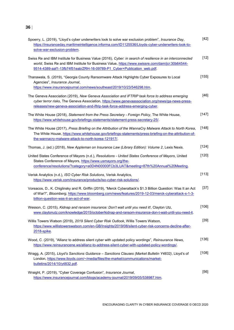| Spoerry, L. (2019), "Lloyd's cyber underwriters look to solve war exclusion problem", Insurance Day,<br>https://insuranceday.maritimeintelligence.informa.com/ID1125536/Lloyds-cyber-underwriters-look-to-<br>solve-war-exclusion-problem.                                             | $[42]$  |
|----------------------------------------------------------------------------------------------------------------------------------------------------------------------------------------------------------------------------------------------------------------------------------------|---------|
| Swiss Re and IBM Institute for Business Value (2016), Cyber: in search of resilience in an interconnected<br>world, Swiss Re and IBM Institute for Business Value, https://www.swissre.com/dam/jcr:30b64544-<br>9514-4389-aaf1-13fb74f51eab/ZRH-16-09789-P1 Cyber+Publication web.pdf. | $[12]$  |
| Thanawala, S. (2019), "Georgia County Ransomware Attack Highlights Cyber Exposures to Local<br>Agencies", Insurance Journal,<br>https://www.insurancejournal.com/news/southeast/2019/10/23/546298.htm.                                                                                 | $[155]$ |
| The Geneva Association (2019), New Geneva Association and IFTRIP task force to address emerging<br>cyber terror risks, The Geneva Association, https://www.genevaassociation.org/news/ga-news-press-<br>releases/new-geneva-association-and-iftrip-task-force-address-emerging-cyber.  | $[46]$  |
| The White House (2018), Statement from the Press Secretary - Foreign Policy, The White House,<br>https://www.whitehouse.gov/briefings-statements/statement-press-secretary-25/.                                                                                                        | [147]   |
| The White House (2017), Press Briefing on the Attribution of the WannaCry Malware Attack to North Korea,<br>The White House, https://www.whitehouse.gov/briefings-statements/press-briefing-on-the-attribution-of-<br>the-wannacry-malware-attack-to-north-korea-121917/.              | [148]   |
| Thomas, J. (ed.) (2018), New Appleman on Insurance Law (Library Edition): Volume 2, Lexis Nexis.                                                                                                                                                                                       | [124]   |
| United States Conference of Mayors (n.d.), Resolutions - United States Conference of Mayors, United<br>States Conference of Mayors, https://www.usmayors.org/the-<br>conference/resolutions/?category=a0D4N00000FCb3LUAT&meeting=87th%20Annual%20Meeting.                              | $[120]$ |
| Verisk Analytics (n.d.), ISO Cyber Risk Solutions, Verisk Analytics,<br>https://www.verisk.com/insurance/products/iso-cyber-risk-solutions/.                                                                                                                                           | $[113]$ |
| Voreacos, D., K. Chiglinsky and R. Griffin (2019), "Merck Cyberattack's \$1.3 Billion Question: Was It an Act<br>of War?", Bloomberg, https://www.bloomberg.com/news/features/2019-12-03/merck-cyberattack-s-1-3-<br>billion-question-was-it-an-act-of-war.                            | $[37]$  |
| Wesson, C. (2015), Kidnap and ransom insurance: Don't wait until you need it!, Clayton Utz,<br>www.claytonutz.com/knowledge/2015/october/kidnap-and-ransom-insurance-don-t-wait-until-you-need-it.                                                                                     | $[106]$ |
| Willis Towers Watson (2019), 2019 Silent Cyber Risk Outlook, Willis Towers Watson,<br>https://www.willistowerswatson.com/en-GB/Insights/2019/08/silent-cyber-risk-concerns-decline-after-<br>2018-spike.                                                                               | $[39]$  |
| Wood, C. (2019), "Allianz to address silent cyber with updated policy wordings", Reinsurance News,<br>https://www.reinsurancene.ws/allianz-to-address-silent-cyber-with-updated-policy-wordings/.                                                                                      | $[136]$ |
| Wragg, A. (2015), Lloyd's Sanctions Guidance - Sanctions Clauses (Market Bulletin Y4832), Lloyd's of<br>London, https://www.lloyds.com/~/media/files/the-market/communications/market-<br>bulletins/2014/10/y4832.pdf.                                                                 | [108]   |
| Wraight, P. (2019), "Cyber Coverage Confusion", Insurance Journal,<br>https://www.insurancejournal.com/blogs/academy-journal/2019/09/05/538987.htm.                                                                                                                                    | $[56]$  |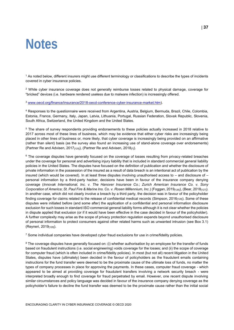### <span id="page-37-0"></span>**Notes**

<sup>1</sup> As noted below, different insurers might use different terminology or classifications to describe the types of incidents covered in cyber insurance policies.

<sup>2</sup> While cyber insurance coverage does not generally reimburse losses related to physical damage, coverage for "bricked" devices (i.e. hardware rendered useless due to malware infection) is increasingly offered.

<sup>3</sup> [www.oecd.org/finance/insurance/2018-oecd-conference-cyber-insurance-market.htm\)](http://www.oecd.org/finance/insurance/2018-oecd-conference-cyber-insurance-market.htm).

<sup>4</sup> Responses to the questionnaire were received from Argentina, Austria, Belgium, Bermuda, Brazil, Chile, Colombia, Estonia, France, Germany, Italy, Japan, Latvia, Lithuania, Portugal, Russian Federation, Slovak Republic, Slovenia, South Africa, Switzerland, the United Kingdom and the United States.

<sup>5</sup> The share of survey respondents providing endorsements to these policies actually increased in 2018 relative to 2017 across most of these lines of business, which may be evidence that either cyber risks are increasingly being placed in other lines of business or, more likely, that cyber coverage is increasingly being provided on an affirmative (rather than silent) basis (as the survey also found an increasing use of stand-alone coverage over endorsements) (Partner Re and Advisen, 2017[125]), (Partner Re and Advisen, 2018[7]).

<sup>6</sup> The coverage disputes have generally focused on the coverage of losses resulting from privacy-related breaches under the coverage for personal and advertising injury liability that is included in standard commercial general liability policies in the United States. The disputes have focused on the definition of publication and whether the disclosure of private information in the possession of the insured as a result of data breach is an intentional act of publication by the insured (which would be covered). In at least three disputes involving unauthorised access to – and disclosure of – personal information by a third-party hacker, decisions have been in favour of the insurance company denying coverage (*Innovak International, Inc. v. The Hanover Insurance Co.*; *Zurich American Insurance Co. v. Sony Corporation of America*; *St. Paul Fire & Marine Ins. Co. v. Rosen Millennium, Inc.*) (Foggan, 2019[126]), (Bear, 2018[127]). In another case, which did not clearly involve a breach by a third party, the decision was in favour of the policyholder finding coverage for claims related to the release of confidential medical records (Simpson, 2016<sub>[128]</sub>). Some of these disputes were initiated before (and some after) the application of a confidential and personal information disclosure exclusion for such losses in standard ISO commercial general liability forms although it is not clear whether the policies in dispute applied that exclusion (or if it would have been effective in the case decided in favour of the policyholder). A further complexity may arise as the scope of privacy protection regulation expands beyond unauthorised disclosure of personal information to protect consumers against other related harms such as unwanted intrusion (see Box 3.1) (Reyneri, 2019<sub>[129]</sub>).

 $7$  Some individual companies have developed cyber fraud exclusions for use in crime/fidelity policies.

<sup>8</sup> The coverage disputes have generally focused on: (i) whether authorisation by an employee for the transfer of funds based on fraudulent instructions (i.e. social engineering) voids coverage for the losses; and (ii) the scope of coverage for computer fraud (which is often included in crime/fidelity policies). In most (but not all) recent litigation in the United States, disputes have (ultimately) been decided in the favour of policyholders as the fraudulent emails containing instructions for the fund transfer were deemed to be the proximate cause of the ultimate loss of funds, no matter the types of company processes in place for approving the payments. In these cases, computer fraud coverage - which appeared to be aimed at providing coverage for fraudulent transfers involving a network security breach - were interpreted broadly enough to find coverage for fraud perpetrated by email. However, one recent dispute involving similar circumstances and policy language was decided in favour of the insurance company denying coverage as the policyholder's failure to decline the fund transfer was deemed to be the proximate cause rather than the initial social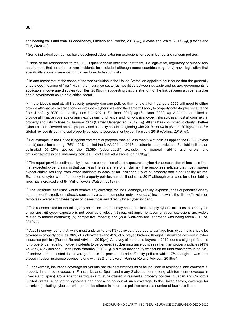engineering calls and emails (MacAneney, Pitblado and Proctor, 2018<sub>[130]</sub>), (Levine and White, 2017<sub>[131]</sub>), (Levine and Ellis, 2020[132]).

<sup>9</sup> Some individual companies have developed cyber extortion exclusions for use in kidnap and ransom policies.

 $10$  None of the respondents to the OECD questionnaire indicated that there is a legislative, regulatory or supervisory requirement that terrorism or war incidents be excluded although some countries (e.g. Italy) have legislation that specifically allows insurance companies to exclude such risks.

<sup>11</sup> In one recent test of the scope of the war exclusion in the United States, an appellate court found that the generally understood meaning of "war" within the insurance sector as hostilities between *de facto* and *de jure* governments is applicable in coverage disputes (Schiffer, 2019<sub>[133]</sub>), suggesting that the strength of the link between a cyber attacker and a government could be a critical factor.

 $12$  In the Lloyd's market, all first party property damage policies that renew after 1 January 2020 will need to either provide affirmative coverage for – or exclude – cyber risks (and the same will apply to property catastrophe reinsurance from June/July 2020 and liability lines from 2021) (Faulkner, 2019<sub>[134]</sub>) (Faulkner, 2020<sub>[158]</sub>). AIG has committed to provide affirmative coverage or apply exclusions for physical and non-physical cyber risks across almost all commercial property and liability lines by January 2020 (Carrier Management, 2019<sub>[135]</sub>). Allianz has committed to clarify whether cyber risks are covered across property and casualty policies beginning with 2019 renewals (Wood, 2019<sub>[136]</sub>) and FM Global revised its commercial property policies to address silent cyber from July 2019 (Collins, 2019<sub>[137]</sub>).

<sup>13</sup> For example, in the United Kingdom commercial property market, less than 5% of policies applied the CL380 (cyber attack) exclusion although 75%-100% applied the NMA 2914 or 2915 (electronic data) exclusion. For liability lines, an estimated 0%-25% applied the CL380 (cyber-attack) exclusion to general liability and errors and omissions/professional indemnity policies (Lloyd's Market Association, 2018[38]).

<sup>14</sup> The report provides estimates by insurance companies of their exposure to cyber risk across different business lines (i.e. expected cyber claims in that business line as a share of all claims). The responses indicate that most insurers expect claims resulting from cyber incidents to account for less than 1% of all property and other liability claims. Estimates of cyber claim frequency in property policies has declined since 2017 although estimates for other liability lines has increased slightly (Willis Towers Watson, 2019[39]).

<sup>15</sup> The "absolute" exclusion would remove any coverage for "loss, damage, liability, expense, fines or penalties or any other amount" directly or indirectly caused by a cyber (computer, network or data) incident while the "limited" exclusion removes coverage for these types of losses if caused directly by a cyber incident.

 $16$  The reasons cited for not taking any action include: (i) it may be impractical to apply cyber exclusions to other types of policies; (ii) cyber exposure is not seen as a relevant threat; (iii) implementation of cyber exclusions are widely related to market dynamics; (iv) competitive impacts; and (v) a "wait-and-see" approach was being taken (EIOPA, 2019[44]).

<sup>17</sup> A 2018 survey found that, while most underwriters (54%) believed that property damage from cyber risks should be covered in property policies, 36% of underwriters (and 49% of surveyed brokers) thought it should be covered in cyber insurance policies (Partner Re and Advisen, 2019 $\mu$ <sub>71</sub>). A survey of insurance buyers in 2019 found a slight preference for property damage from cyber incidents to be covered in cyber insurance policies rather than property policies (49% vs. 41%) (Advisen and Zurich North America, 2019<sub>[116]</sub>). A similar incongruity was found for fund transfer fraud as 74% of underwriters indicated the coverage should be provided in crime/fidelity policies while 17% thought it was best placed in cyber insurance policies (along with 38% of brokers) (Partner Re and Advisen, 2019[47]).

<sup>18</sup> For example, insurance coverage for various natural catastrophes must be included in residential and commercial property insurance coverage in France, Iceland, Spain and many Swiss cantons (along with terrorism coverage in France and Spain). Coverage for earthquake must be offered in residential property policies in Japan and California (United States) although policyholders can choose to opt-out of such coverage. In the United States, coverage for terrorism (including cyber-terrorism) must be offered in insurance policies across a number of business lines.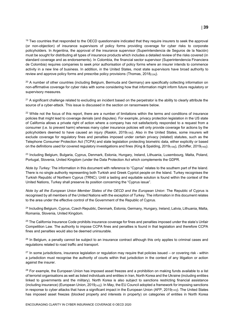<sup>19</sup> Two countries that responded to the OECD questionnaire indicated that they require insurers to seek the approval (or non-objection) of insurance supervisors of policy forms providing coverage for cyber risks to corporate policyholders. In Argentina, the approval of the insurance supervisor (Superintendencia de Seguros de la Nación) must be sought for distributing all types of insurance products which includes a detailed review of the risks covered (in standard coverage and as endorsements). In Colombia, the financial sector supervisor (Superintendencia Financiera de Colombia) requires companies to seek prior authorisation of policy forms where an insurer intends to commence activity in a new line of business. In addition, in the United States, most state supervisors have broad authority to review and approve policy forms and prescribe policy provisions (Thomas, 2018[124]).

<sup>20</sup> A number of other countries (including Belgium, Bermuda and Germany) are specifically collecting information on non-affirmative coverage for cyber risks with some considering how that information might inform future regulatory or supervisory measures.

<sup>21</sup> A significant challenge related to excluding an incident based on the perpetrator is the ability to clearly attribute the source of a cyber-attack. This issue is discussed in the section on ransomware below.

 $22$  While not the focus of this report, there are a number of limitations within the terms and conditions of insurance policies that might lead to coverage denials (and disputes). For example, privacy protection legislation in the US state of California allows a private right of action where a company has not satisfactorily responded to a request from a consumer (i.e. to prevent harm) whereas many cyber insurance policies will only provide coverage for actions by the policyholders deemed to have caused an injury (Raskin, 2019<sub>[138]</sub>). Also in the United States, some insurers will exclude coverage for regulatory fines and penalties imposed under certain privacy (related) statutes, such as the Telephone Consumer Protection Act (TCPA) and state legislation protecting biometric data, either explicitly or based on the definitions used for covered regulatory investigations and fines (King & Spalding, 2019 $_{[139]}$ ), (Schiffer, 2019 $_{[140]}$ ).

<sup>23</sup> Including Belgium, Bulgaria, Cyprus, Denmark, Estonia, Hungary, Ireland, Lithuania, Luxembourg, Malta, Poland, Portugal, Slovenia, United Kingdom (under the Data Protection Act which complements the GDPR.

*Note by Turkey:* The information in this document with reference to "Cyprus" relates to the southern part of the Island. There is no single authority representing both Turkish and Greek Cypriot people on the Island. Turkey recognises the Turkish Republic of Northern Cyprus (TRNC). Until a lasting and equitable solution is found within the context of the United Nations, Turkey shall preserve its position concerning the "Cyprus issue".

*Note by all the European Union Member States of the OECD and the European Union*: The Republic of Cyprus is recognised by all members of the United Nations with the exception of Turkey. The information in this document relates to the area under the effective control of the Government of the Republic of Cyprus.

<sup>24</sup> Including Belgium, Cyprus, Czech Republic, Denmark, Estonia, Germany, Hungary, Ireland, Latvia, Lithuania, Malta, Romania, Slovenia, United Kingdom.

 $25$  The California Insurance Code prohibits insurance coverage for fines and penalties imposed under the state's Unfair Competition Law. The authority to impose CCPA fines and penalties is found in that legislation and therefore CCPA fines and penalties would also be deemed uninsurable.

 $26$  In Belgium, a penalty cannot be subject to an insurance contract although this only applies to criminal cases and regulations related to road traffic and transport.

 $27$  In some jurisdictions, insurance legislation or regulation may reguire that policies issued – or covering risk - within a jurisdiction must recognise the authority of courts within that jurisdiction in the context of any litigation or action against the insurer.

<sup>28</sup> For example, the European Union has imposed asset freezes and a prohibition on making funds available to a list of terrorist organisations as well as listed individuals and entities in Iran, North Korea and the Ukraine (including entities linked to governments and the military). North Korea is also subject to sanctions restricting financial assistance (including insurance) (European Union, 2019<sub>[142]</sub>). In May, the EU Council adopted a framework for imposing sanctions in response to cyber attacks that have a significant impact in the European Union (AFP, 2019<sub>[143]</sub>). The United States has imposed asset freezes (blocked property and interests in property) on categories of entities in North Korea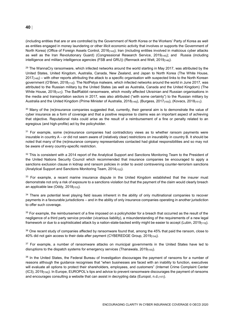(including entities that are or are controlled by the Government of North Korea or the Workers' Party of Korea as well as entities engaged in money laundering or other illicit economic activity that involves or supports the Government of North Korea) (Office of Foreign Assets Control, 2016<sub>[144]</sub>); Iran (including entities involved in malicious cyber attacks as well as the Iran Revolutionary Guard) (Congressional Research Service, 2019<sub>[145]</sub>); and Russia (including intelligence and military intelligence agencies (FSB and GRU)) (Rennack and Welt, 2019<sub>[146]</sub>).

 $29$  The WannaCry ransomware, which infected networks around the world starting in May 2017, was attributed by the United States, United Kingdom, Australia, Canada, New Zealand, and Japan to North Korea (The White House,  $2017<sub>[148]</sub>$  – with other reports attributing the attack to a specific organisation with suspected links to the North Korean government (O'Brien, 2018<sub>[112]</sub>). The NotPetya malware, which infected networks around the world in June 2017, was attributed to the Russian military by the United States (as well as Australia, Canada and the United Kingdom) (The White House, 2018<sub>[147]</sub>). The BadRabbit ransomware, which mostly affected Ukrainian and Russian organisations in the media and transportation sectors in 2017, was also attributed ("with some certainty") to the Russian military by Australia and the United Kingdom (Prime Minister of Australia, 2018<sub>[149]</sub>), (Burgess, 2017<sub>[150]</sub>), (Kovacs, 2018<sub>[151]</sub>).

<sup>30</sup> Many of the (re)insurance companies suggested that, currently, their general aim is to demonstrate the value of cyber insurance as a form of coverage and that a positive response to claims was an important aspect of achieving that objective. Reputational risks could arise as the result of a reimbursement of a fine or penalty related to an egregious (and high-profile) act by the policyholder.

 $31$  For example, some (re)insurance companies had contradictory views as to whether ransom payments were insurable in country A – or did not seem aware of (relatively clear) restrictions on insurability in country B. It should be noted that many of the (re)insurance company representatives contacted had global responsibilities and so may not be aware of every country-specific restriction.

32 This is consistent with a 2014 report of the Analytical Support and Sanctions Monitoring Team to the President of the United Nations Security Council which recommended that insurance companies be encouraged to apply a sanctions exclusion clause in kidnap and ransom policies in order to avoid contravening counter-terrorism sanctions (Analytical Support and Sanctions Monitoring Team, 2014[152]).

<sup>33</sup> For example, a recent marine insurance dispute in the United Kingdom established that the insurer must demonstrate not only a risk of exposure to a sanctions violation but that the payment of the claim would clearly breach an applicable law (Oddy, 2018[153]).

<sup>34</sup> There are potential level playing field issues inherent in the ability of only multinational companies to recover payments in a favourable jurisdictions – and in the ability of only insurance companies operating in another jurisdiction to offer such coverage.

 $35$  For example, the reimbursement of a fine imposed on a policyholder for a breach that occurred as the result of the negligence of a third party service provider (vicarious liability), a misunderstanding of the requirements of a new legal framework or due to a sophisticated attack by a nation-state-backed entity might be easier to accept (Lubin, 2019<sub>[119]</sub>).

<sup>36</sup> One recent study of companies affected by ransomware found that, among the 45% that paid the ransom, close to 40% did not gain access to their data after payment (CYBEREDGE Group, 2019[154]).

<sup>37</sup> For example, a number of ransomware attacks on municipal governments in the United States have led to disruptions to the dispatch systems for emergency services (Thanawala, 2019[155]).

<sup>38</sup> In the United States, the Federal Bureau of Investigation discourages the payment of ransoms for a number of reasons although the guidance recognises that "when businesses are faced with an inability to function, executives will evaluate all options to protect their shareholders, employees, and customers" (Internet Crime Complaint Center (IC3), 2019[156]). In Europe, EUROPOL's tips and advice to prevent ransomware discourages the payment of ransoms and encourages consulting a website that can assist in decrypting data (Europol, n.d.[157]).